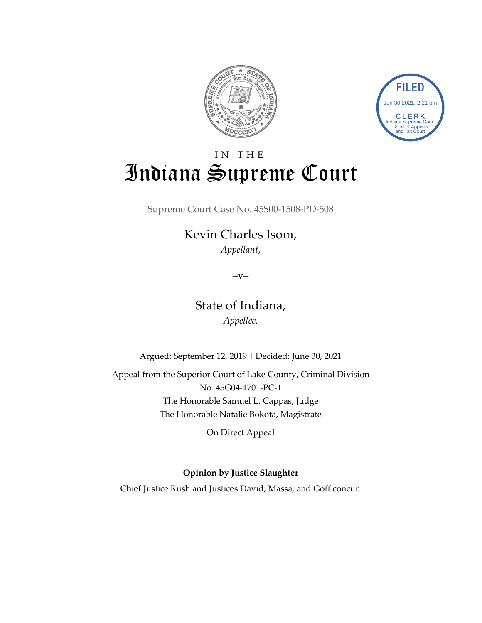



# IN THE Indiana Supreme Court

Supreme Court Case No. 45S00-1508-PD-508

## Kevin Charles Isom, *Appellant*,

 $-V-$ 

State of Indiana,

*Appellee.*

Argued: September 12, 2019 | Decided: June 30, 2021

Appeal from the Superior Court of Lake County, Criminal Division No. 45G04-1701-PC-1 The Honorable Samuel L. Cappas, Judge The Honorable Natalie Bokota, Magistrate

On Direct Appeal

## **Opinion by Justice Slaughter**

Chief Justice Rush and Justices David, Massa, and Goff concur.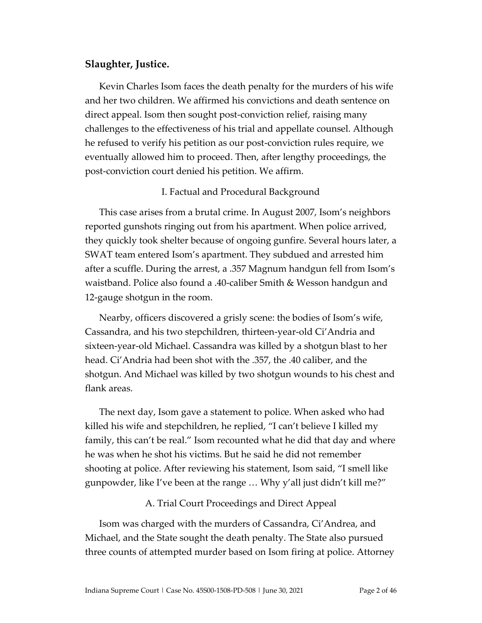## **Slaughter, Justice.**

Kevin Charles Isom faces the death penalty for the murders of his wife and her two children. We affirmed his convictions and death sentence on direct appeal. Isom then sought post-conviction relief, raising many challenges to the effectiveness of his trial and appellate counsel. Although he refused to verify his petition as our post-conviction rules require, we eventually allowed him to proceed. Then, after lengthy proceedings, the post-conviction court denied his petition. We affirm.

## I. Factual and Procedural Background

This case arises from a brutal crime. In August 2007, Isom's neighbors reported gunshots ringing out from his apartment. When police arrived, they quickly took shelter because of ongoing gunfire. Several hours later, a SWAT team entered Isom's apartment. They subdued and arrested him after a scuffle. During the arrest, a .357 Magnum handgun fell from Isom's waistband. Police also found a .40-caliber Smith & Wesson handgun and 12-gauge shotgun in the room.

Nearby, officers discovered a grisly scene: the bodies of Isom's wife, Cassandra, and his two stepchildren, thirteen-year-old Ci'Andria and sixteen-year-old Michael. Cassandra was killed by a shotgun blast to her head. Ci'Andria had been shot with the .357, the .40 caliber, and the shotgun. And Michael was killed by two shotgun wounds to his chest and flank areas.

The next day, Isom gave a statement to police. When asked who had killed his wife and stepchildren, he replied, "I can't believe I killed my family, this can't be real." Isom recounted what he did that day and where he was when he shot his victims. But he said he did not remember shooting at police. After reviewing his statement, Isom said, "I smell like gunpowder, like I've been at the range … Why y'all just didn't kill me?"

## A. Trial Court Proceedings and Direct Appeal

Isom was charged with the murders of Cassandra, Ci'Andrea, and Michael, and the State sought the death penalty. The State also pursued three counts of attempted murder based on Isom firing at police. Attorney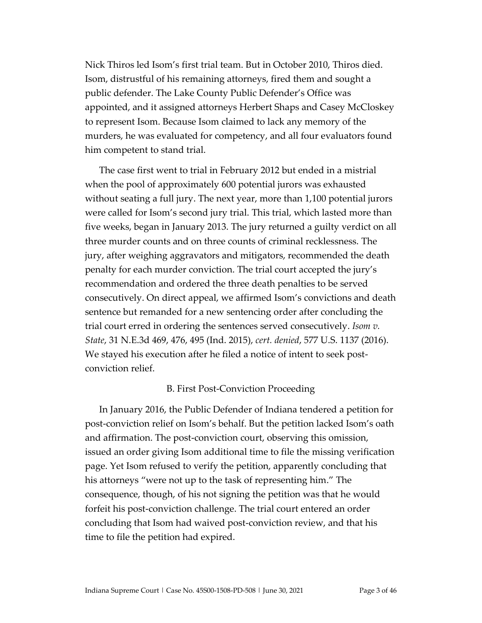Nick Thiros led Isom's first trial team. But in October 2010, Thiros died. Isom, distrustful of his remaining attorneys, fired them and sought a public defender. The Lake County Public Defender's Office was appointed, and it assigned attorneys Herbert Shaps and Casey McCloskey to represent Isom. Because Isom claimed to lack any memory of the murders, he was evaluated for competency, and all four evaluators found him competent to stand trial.

The case first went to trial in February 2012 but ended in a mistrial when the pool of approximately 600 potential jurors was exhausted without seating a full jury. The next year, more than 1,100 potential jurors were called for Isom's second jury trial. This trial, which lasted more than five weeks, began in January 2013. The jury returned a guilty verdict on all three murder counts and on three counts of criminal recklessness. The jury, after weighing aggravators and mitigators, recommended the death penalty for each murder conviction. The trial court accepted the jury's recommendation and ordered the three death penalties to be served consecutively. On direct appeal, we affirmed Isom's convictions and death sentence but remanded for a new sentencing order after concluding the trial court erred in ordering the sentences served consecutively. *Isom v. State*, 31 N.E.3d 469, 476, 495 (Ind. 2015), *cert. denied*, 577 U.S. 1137 (2016). We stayed his execution after he filed a notice of intent to seek postconviction relief.

## B. First Post-Conviction Proceeding

In January 2016, the Public Defender of Indiana tendered a petition for post-conviction relief on Isom's behalf. But the petition lacked Isom's oath and affirmation. The post-conviction court, observing this omission, issued an order giving Isom additional time to file the missing verification page. Yet Isom refused to verify the petition, apparently concluding that his attorneys "were not up to the task of representing him." The consequence, though, of his not signing the petition was that he would forfeit his post-conviction challenge. The trial court entered an order concluding that Isom had waived post-conviction review, and that his time to file the petition had expired.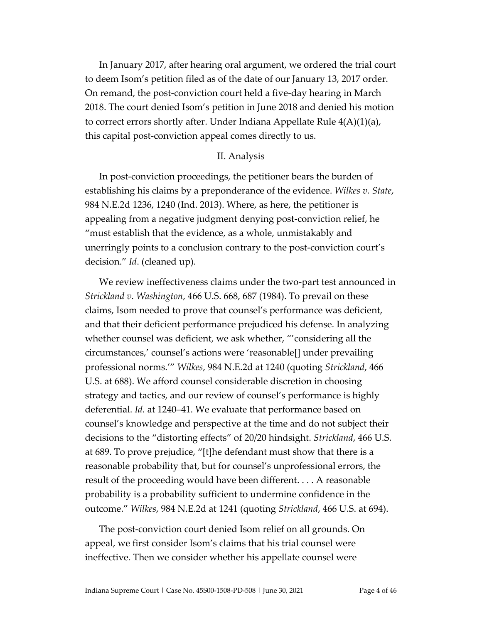In January 2017, after hearing oral argument, we ordered the trial court to deem Isom's petition filed as of the date of our January 13, 2017 order. On remand, the post-conviction court held a five-day hearing in March 2018. The court denied Isom's petition in June 2018 and denied his motion to correct errors shortly after. Under Indiana Appellate Rule  $4(A)(1)(a)$ , this capital post-conviction appeal comes directly to us.

#### II. Analysis

In post-conviction proceedings, the petitioner bears the burden of establishing his claims by a preponderance of the evidence. *Wilkes v. State*, 984 N.E.2d 1236, 1240 (Ind. 2013). Where, as here, the petitioner is appealing from a negative judgment denying post-conviction relief, he "must establish that the evidence, as a whole, unmistakably and unerringly points to a conclusion contrary to the post-conviction court's decision." *Id*. (cleaned up).

We review ineffectiveness claims under the two-part test announced in *Strickland v. Washington*, 466 U.S. 668, 687 (1984). To prevail on these claims, Isom needed to prove that counsel's performance was deficient, and that their deficient performance prejudiced his defense. In analyzing whether counsel was deficient, we ask whether, "'considering all the circumstances,' counsel's actions were 'reasonable[] under prevailing professional norms.'" *Wilkes*, 984 N.E.2d at 1240 (quoting *Strickland*, 466 U.S. at 688). We afford counsel considerable discretion in choosing strategy and tactics, and our review of counsel's performance is highly deferential. *Id.* at 1240–41. We evaluate that performance based on counsel's knowledge and perspective at the time and do not subject their decisions to the "distorting effects" of 20/20 hindsight. *Strickland*, 466 U.S. at 689. To prove prejudice, "[t]he defendant must show that there is a reasonable probability that, but for counsel's unprofessional errors, the result of the proceeding would have been different. . . . A reasonable probability is a probability sufficient to undermine confidence in the outcome." *Wilkes*, 984 N.E.2d at 1241 (quoting *Strickland*, 466 U.S. at 694).

The post-conviction court denied Isom relief on all grounds. On appeal, we first consider Isom's claims that his trial counsel were ineffective. Then we consider whether his appellate counsel were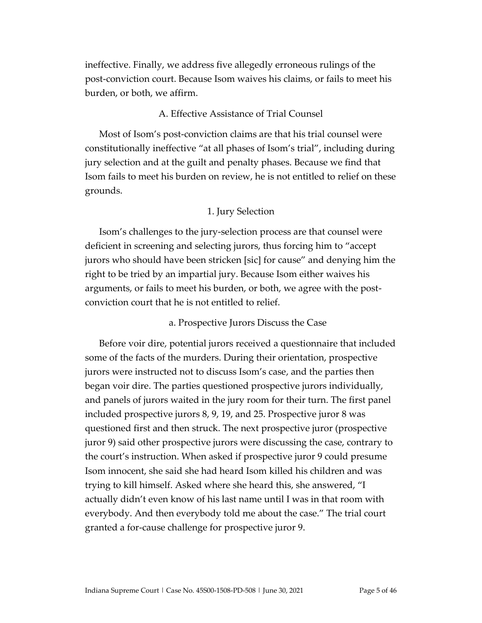ineffective. Finally, we address five allegedly erroneous rulings of the post-conviction court. Because Isom waives his claims, or fails to meet his burden, or both, we affirm.

## A. Effective Assistance of Trial Counsel

Most of Isom's post-conviction claims are that his trial counsel were constitutionally ineffective "at all phases of Isom's trial", including during jury selection and at the guilt and penalty phases. Because we find that Isom fails to meet his burden on review, he is not entitled to relief on these grounds.

## 1. Jury Selection

Isom's challenges to the jury-selection process are that counsel were deficient in screening and selecting jurors, thus forcing him to "accept jurors who should have been stricken [sic] for cause" and denying him the right to be tried by an impartial jury. Because Isom either waives his arguments, or fails to meet his burden, or both, we agree with the postconviction court that he is not entitled to relief.

## a. Prospective Jurors Discuss the Case

Before voir dire, potential jurors received a questionnaire that included some of the facts of the murders. During their orientation, prospective jurors were instructed not to discuss Isom's case, and the parties then began voir dire. The parties questioned prospective jurors individually, and panels of jurors waited in the jury room for their turn. The first panel included prospective jurors 8, 9, 19, and 25. Prospective juror 8 was questioned first and then struck. The next prospective juror (prospective juror 9) said other prospective jurors were discussing the case, contrary to the court's instruction. When asked if prospective juror 9 could presume Isom innocent, she said she had heard Isom killed his children and was trying to kill himself. Asked where she heard this, she answered, "I actually didn't even know of his last name until I was in that room with everybody. And then everybody told me about the case." The trial court granted a for-cause challenge for prospective juror 9.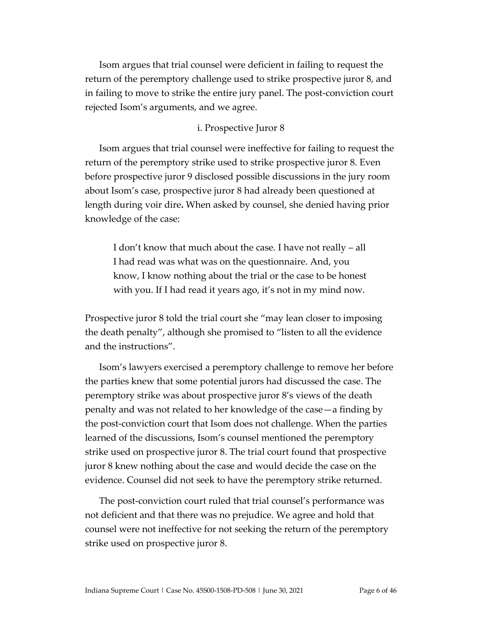Isom argues that trial counsel were deficient in failing to request the return of the peremptory challenge used to strike prospective juror 8, and in failing to move to strike the entire jury panel. The post-conviction court rejected Isom's arguments, and we agree.

## i. Prospective Juror 8

Isom argues that trial counsel were ineffective for failing to request the return of the peremptory strike used to strike prospective juror 8. Even before prospective juror 9 disclosed possible discussions in the jury room about Isom's case, prospective juror 8 had already been questioned at length during voir dire**.** When asked by counsel, she denied having prior knowledge of the case:

I don't know that much about the case. I have not really – all I had read was what was on the questionnaire. And, you know, I know nothing about the trial or the case to be honest with you. If I had read it years ago, it's not in my mind now.

Prospective juror 8 told the trial court she "may lean closer to imposing the death penalty", although she promised to "listen to all the evidence and the instructions".

Isom's lawyers exercised a peremptory challenge to remove her before the parties knew that some potential jurors had discussed the case. The peremptory strike was about prospective juror 8's views of the death penalty and was not related to her knowledge of the case—a finding by the post-conviction court that Isom does not challenge. When the parties learned of the discussions, Isom's counsel mentioned the peremptory strike used on prospective juror 8. The trial court found that prospective juror 8 knew nothing about the case and would decide the case on the evidence. Counsel did not seek to have the peremptory strike returned.

The post-conviction court ruled that trial counsel's performance was not deficient and that there was no prejudice. We agree and hold that counsel were not ineffective for not seeking the return of the peremptory strike used on prospective juror 8.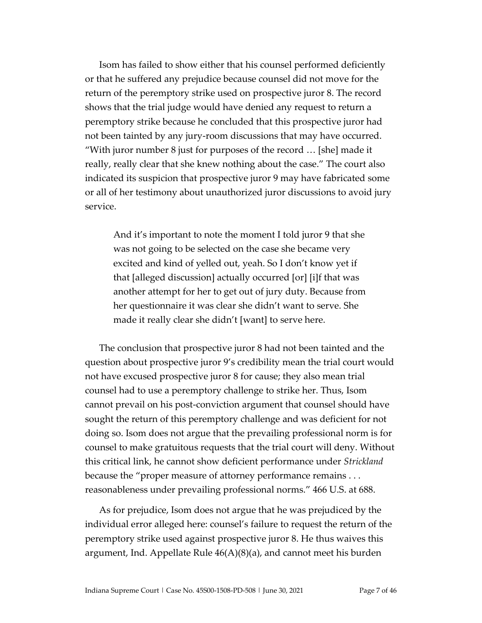Isom has failed to show either that his counsel performed deficiently or that he suffered any prejudice because counsel did not move for the return of the peremptory strike used on prospective juror 8. The record shows that the trial judge would have denied any request to return a peremptory strike because he concluded that this prospective juror had not been tainted by any jury-room discussions that may have occurred. "With juror number 8 just for purposes of the record … [she] made it really, really clear that she knew nothing about the case." The court also indicated its suspicion that prospective juror 9 may have fabricated some or all of her testimony about unauthorized juror discussions to avoid jury service.

And it's important to note the moment I told juror 9 that she was not going to be selected on the case she became very excited and kind of yelled out, yeah. So I don't know yet if that [alleged discussion] actually occurred [or] [i]f that was another attempt for her to get out of jury duty. Because from her questionnaire it was clear she didn't want to serve. She made it really clear she didn't [want] to serve here.

The conclusion that prospective juror 8 had not been tainted and the question about prospective juror 9's credibility mean the trial court would not have excused prospective juror 8 for cause; they also mean trial counsel had to use a peremptory challenge to strike her. Thus, Isom cannot prevail on his post-conviction argument that counsel should have sought the return of this peremptory challenge and was deficient for not doing so. Isom does not argue that the prevailing professional norm is for counsel to make gratuitous requests that the trial court will deny. Without this critical link, he cannot show deficient performance under *Strickland* because the "proper measure of attorney performance remains . . . reasonableness under prevailing professional norms." 466 U.S. at 688.

As for prejudice, Isom does not argue that he was prejudiced by the individual error alleged here: counsel's failure to request the return of the peremptory strike used against prospective juror 8. He thus waives this argument, Ind. Appellate Rule 46(A)(8)(a), and cannot meet his burden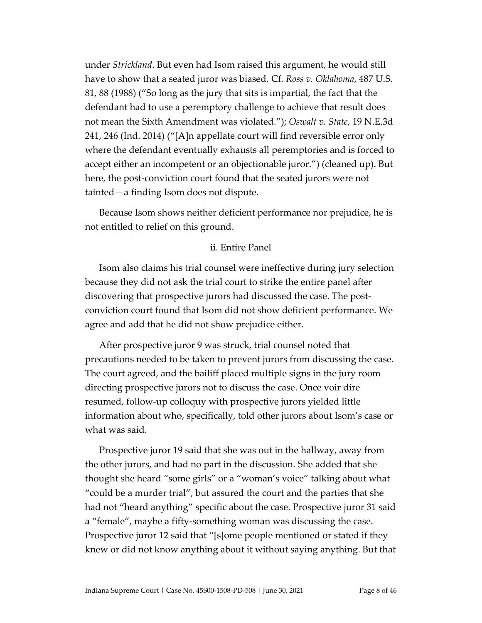under *Strickland*. But even had Isom raised this argument, he would still have to show that a seated juror was biased. Cf. *Ross v. Oklahoma*, 487 U.S. 81, 88 (1988) ("So long as the jury that sits is impartial, the fact that the defendant had to use a peremptory challenge to achieve that result does not mean the Sixth Amendment was violated."); *Oswalt v. State*, 19 N.E.3d 241, 246 (Ind. 2014) ("[A]n appellate court will find reversible error only where the defendant eventually exhausts all peremptories and is forced to accept either an incompetent or an objectionable juror.") (cleaned up). But here, the post-conviction court found that the seated jurors were not tainted—a finding Isom does not dispute.

Because Isom shows neither deficient performance nor prejudice, he is not entitled to relief on this ground.

#### ii. Entire Panel

Isom also claims his trial counsel were ineffective during jury selection because they did not ask the trial court to strike the entire panel after discovering that prospective jurors had discussed the case. The postconviction court found that Isom did not show deficient performance. We agree and add that he did not show prejudice either.

After prospective juror 9 was struck, trial counsel noted that precautions needed to be taken to prevent jurors from discussing the case. The court agreed, and the bailiff placed multiple signs in the jury room directing prospective jurors not to discuss the case. Once voir dire resumed, follow-up colloquy with prospective jurors yielded little information about who, specifically, told other jurors about Isom's case or what was said.

Prospective juror 19 said that she was out in the hallway, away from the other jurors, and had no part in the discussion. She added that she thought she heard "some girls" or a "woman's voice" talking about what "could be a murder trial", but assured the court and the parties that she had not "heard anything" specific about the case. Prospective juror 31 said a "female", maybe a fifty-something woman was discussing the case. Prospective juror 12 said that "[s]ome people mentioned or stated if they knew or did not know anything about it without saying anything. But that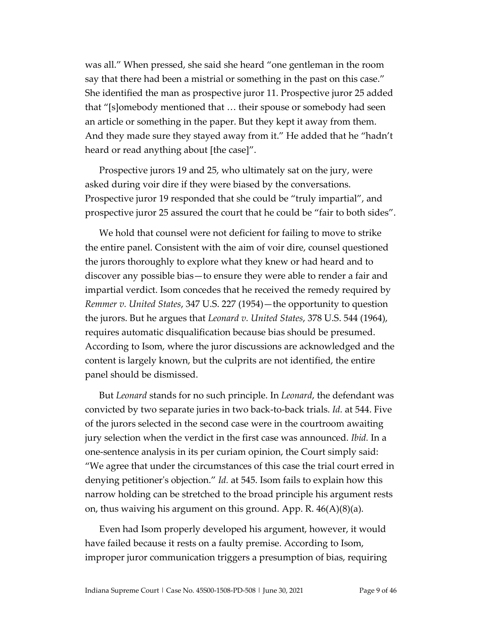was all." When pressed, she said she heard "one gentleman in the room say that there had been a mistrial or something in the past on this case." She identified the man as prospective juror 11. Prospective juror 25 added that "[s]omebody mentioned that … their spouse or somebody had seen an article or something in the paper. But they kept it away from them. And they made sure they stayed away from it." He added that he "hadn't heard or read anything about [the case]".

Prospective jurors 19 and 25, who ultimately sat on the jury, were asked during voir dire if they were biased by the conversations. Prospective juror 19 responded that she could be "truly impartial", and prospective juror 25 assured the court that he could be "fair to both sides".

We hold that counsel were not deficient for failing to move to strike the entire panel. Consistent with the aim of voir dire, counsel questioned the jurors thoroughly to explore what they knew or had heard and to discover any possible bias—to ensure they were able to render a fair and impartial verdict. Isom concedes that he received the remedy required by *Remmer v. United States*, 347 U.S. 227 (1954)—the opportunity to question the jurors. But he argues that *Leonard v. United States*, 378 U.S. 544 (1964), requires automatic disqualification because bias should be presumed. According to Isom, where the juror discussions are acknowledged and the content is largely known, but the culprits are not identified, the entire panel should be dismissed.

But *Leonard* stands for no such principle. In *Leonard*, the defendant was convicted by two separate juries in two back-to-back trials. *Id.* at 544. Five of the jurors selected in the second case were in the courtroom awaiting jury selection when the verdict in the first case was announced. *Ibid.* In a one-sentence analysis in its per curiam opinion, the Court simply said: "We agree that under the circumstances of this case the trial court erred in denying petitioner's objection." *Id.* at 545. Isom fails to explain how this narrow holding can be stretched to the broad principle his argument rests on, thus waiving his argument on this ground. App. R. 46(A)(8)(a).

Even had Isom properly developed his argument, however, it would have failed because it rests on a faulty premise. According to Isom, improper juror communication triggers a presumption of bias, requiring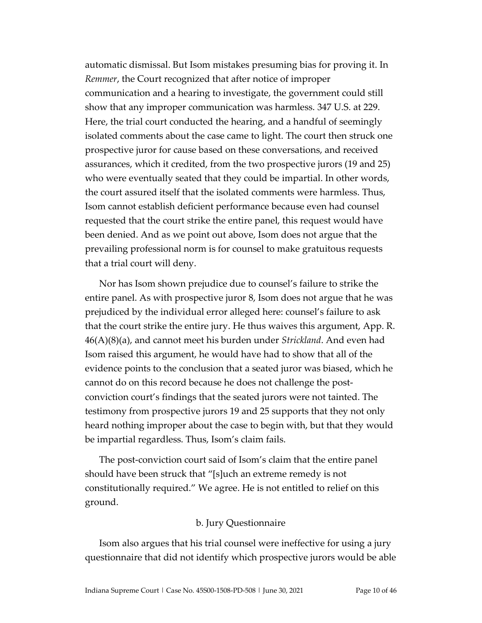automatic dismissal. But Isom mistakes presuming bias for proving it. In *Remmer*, the Court recognized that after notice of improper communication and a hearing to investigate, the government could still show that any improper communication was harmless. 347 U.S. at 229. Here, the trial court conducted the hearing, and a handful of seemingly isolated comments about the case came to light. The court then struck one prospective juror for cause based on these conversations, and received assurances, which it credited, from the two prospective jurors (19 and 25) who were eventually seated that they could be impartial. In other words, the court assured itself that the isolated comments were harmless. Thus, Isom cannot establish deficient performance because even had counsel requested that the court strike the entire panel, this request would have been denied. And as we point out above, Isom does not argue that the prevailing professional norm is for counsel to make gratuitous requests that a trial court will deny.

Nor has Isom shown prejudice due to counsel's failure to strike the entire panel. As with prospective juror 8, Isom does not argue that he was prejudiced by the individual error alleged here: counsel's failure to ask that the court strike the entire jury. He thus waives this argument, App. R. 46(A)(8)(a), and cannot meet his burden under *Strickland*. And even had Isom raised this argument, he would have had to show that all of the evidence points to the conclusion that a seated juror was biased, which he cannot do on this record because he does not challenge the postconviction court's findings that the seated jurors were not tainted. The testimony from prospective jurors 19 and 25 supports that they not only heard nothing improper about the case to begin with, but that they would be impartial regardless. Thus, Isom's claim fails.

The post-conviction court said of Isom's claim that the entire panel should have been struck that "[s]uch an extreme remedy is not constitutionally required." We agree. He is not entitled to relief on this ground.

## b. Jury Questionnaire

Isom also argues that his trial counsel were ineffective for using a jury questionnaire that did not identify which prospective jurors would be able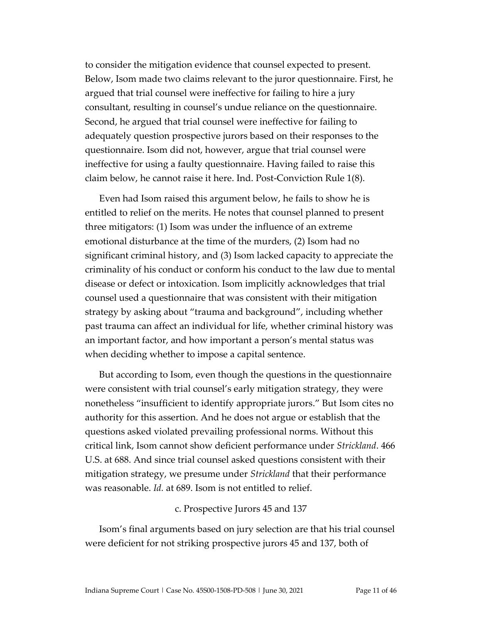to consider the mitigation evidence that counsel expected to present. Below, Isom made two claims relevant to the juror questionnaire. First, he argued that trial counsel were ineffective for failing to hire a jury consultant, resulting in counsel's undue reliance on the questionnaire. Second, he argued that trial counsel were ineffective for failing to adequately question prospective jurors based on their responses to the questionnaire. Isom did not, however, argue that trial counsel were ineffective for using a faulty questionnaire. Having failed to raise this claim below, he cannot raise it here. Ind. Post-Conviction Rule 1(8).

Even had Isom raised this argument below, he fails to show he is entitled to relief on the merits. He notes that counsel planned to present three mitigators: (1) Isom was under the influence of an extreme emotional disturbance at the time of the murders, (2) Isom had no significant criminal history, and (3) Isom lacked capacity to appreciate the criminality of his conduct or conform his conduct to the law due to mental disease or defect or intoxication. Isom implicitly acknowledges that trial counsel used a questionnaire that was consistent with their mitigation strategy by asking about "trauma and background", including whether past trauma can affect an individual for life, whether criminal history was an important factor, and how important a person's mental status was when deciding whether to impose a capital sentence.

But according to Isom, even though the questions in the questionnaire were consistent with trial counsel's early mitigation strategy, they were nonetheless "insufficient to identify appropriate jurors." But Isom cites no authority for this assertion. And he does not argue or establish that the questions asked violated prevailing professional norms. Without this critical link, Isom cannot show deficient performance under *Strickland*. 466 U.S. at 688. And since trial counsel asked questions consistent with their mitigation strategy, we presume under *Strickland* that their performance was reasonable. *Id.* at 689. Isom is not entitled to relief.

#### c. Prospective Jurors 45 and 137

Isom's final arguments based on jury selection are that his trial counsel were deficient for not striking prospective jurors 45 and 137, both of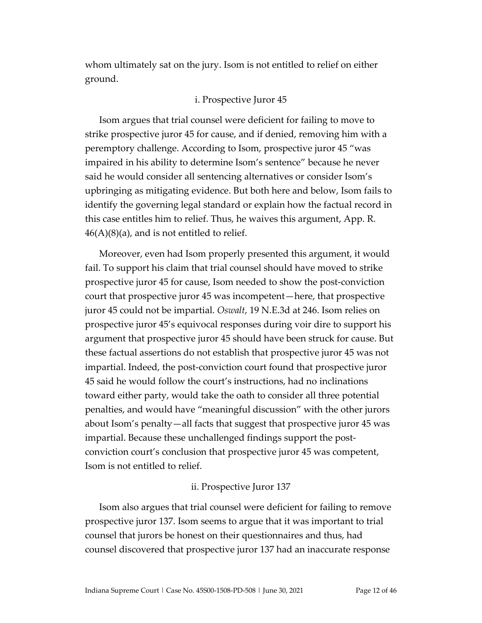whom ultimately sat on the jury. Isom is not entitled to relief on either ground.

## i. Prospective Juror 45

Isom argues that trial counsel were deficient for failing to move to strike prospective juror 45 for cause, and if denied, removing him with a peremptory challenge. According to Isom, prospective juror 45 "was impaired in his ability to determine Isom's sentence" because he never said he would consider all sentencing alternatives or consider Isom's upbringing as mitigating evidence. But both here and below, Isom fails to identify the governing legal standard or explain how the factual record in this case entitles him to relief. Thus, he waives this argument, App. R.  $46(A)(8)(a)$ , and is not entitled to relief.

Moreover, even had Isom properly presented this argument, it would fail. To support his claim that trial counsel should have moved to strike prospective juror 45 for cause, Isom needed to show the post-conviction court that prospective juror 45 was incompetent—here, that prospective juror 45 could not be impartial. *Oswalt*, 19 N.E.3d at 246. Isom relies on prospective juror 45's equivocal responses during voir dire to support his argument that prospective juror 45 should have been struck for cause. But these factual assertions do not establish that prospective juror 45 was not impartial. Indeed, the post-conviction court found that prospective juror 45 said he would follow the court's instructions, had no inclinations toward either party, would take the oath to consider all three potential penalties, and would have "meaningful discussion" with the other jurors about Isom's penalty—all facts that suggest that prospective juror 45 was impartial. Because these unchallenged findings support the postconviction court's conclusion that prospective juror 45 was competent, Isom is not entitled to relief.

## ii. Prospective Juror 137

Isom also argues that trial counsel were deficient for failing to remove prospective juror 137. Isom seems to argue that it was important to trial counsel that jurors be honest on their questionnaires and thus, had counsel discovered that prospective juror 137 had an inaccurate response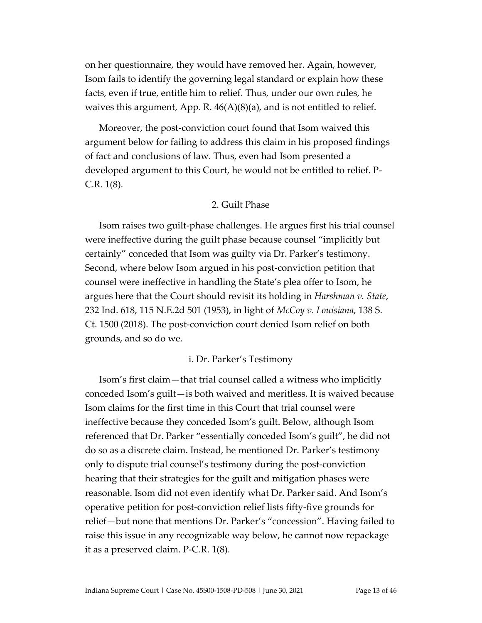on her questionnaire, they would have removed her. Again, however, Isom fails to identify the governing legal standard or explain how these facts, even if true, entitle him to relief. Thus, under our own rules, he waives this argument, App. R.  $46(A)(8)(a)$ , and is not entitled to relief.

Moreover, the post-conviction court found that Isom waived this argument below for failing to address this claim in his proposed findings of fact and conclusions of law. Thus, even had Isom presented a developed argument to this Court, he would not be entitled to relief. P-C.R. 1(8).

## 2. Guilt Phase

Isom raises two guilt-phase challenges. He argues first his trial counsel were ineffective during the guilt phase because counsel "implicitly but certainly" conceded that Isom was guilty via Dr. Parker's testimony. Second, where below Isom argued in his post-conviction petition that counsel were ineffective in handling the State's plea offer to Isom, he argues here that the Court should revisit its holding in *Harshman v. State*, 232 Ind. 618, 115 N.E.2d 501 (1953), in light of *McCoy v. Louisiana*, 138 S. Ct. 1500 (2018). The post-conviction court denied Isom relief on both grounds, and so do we.

#### i. Dr. Parker's Testimony

Isom's first claim—that trial counsel called a witness who implicitly conceded Isom's guilt—is both waived and meritless. It is waived because Isom claims for the first time in this Court that trial counsel were ineffective because they conceded Isom's guilt. Below, although Isom referenced that Dr. Parker "essentially conceded Isom's guilt", he did not do so as a discrete claim. Instead, he mentioned Dr. Parker's testimony only to dispute trial counsel's testimony during the post-conviction hearing that their strategies for the guilt and mitigation phases were reasonable. Isom did not even identify what Dr. Parker said. And Isom's operative petition for post-conviction relief lists fifty-five grounds for relief—but none that mentions Dr. Parker's "concession". Having failed to raise this issue in any recognizable way below, he cannot now repackage it as a preserved claim. P-C.R. 1(8).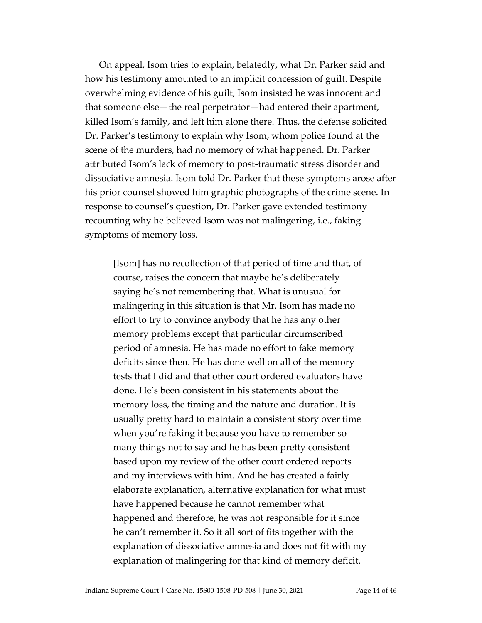On appeal, Isom tries to explain, belatedly, what Dr. Parker said and how his testimony amounted to an implicit concession of guilt. Despite overwhelming evidence of his guilt, Isom insisted he was innocent and that someone else—the real perpetrator—had entered their apartment, killed Isom's family, and left him alone there. Thus, the defense solicited Dr. Parker's testimony to explain why Isom, whom police found at the scene of the murders, had no memory of what happened. Dr. Parker attributed Isom's lack of memory to post-traumatic stress disorder and dissociative amnesia. Isom told Dr. Parker that these symptoms arose after his prior counsel showed him graphic photographs of the crime scene. In response to counsel's question, Dr. Parker gave extended testimony recounting why he believed Isom was not malingering, i.e., faking symptoms of memory loss.

[Isom] has no recollection of that period of time and that, of course, raises the concern that maybe he's deliberately saying he's not remembering that. What is unusual for malingering in this situation is that Mr. Isom has made no effort to try to convince anybody that he has any other memory problems except that particular circumscribed period of amnesia. He has made no effort to fake memory deficits since then. He has done well on all of the memory tests that I did and that other court ordered evaluators have done. He's been consistent in his statements about the memory loss, the timing and the nature and duration. It is usually pretty hard to maintain a consistent story over time when you're faking it because you have to remember so many things not to say and he has been pretty consistent based upon my review of the other court ordered reports and my interviews with him. And he has created a fairly elaborate explanation, alternative explanation for what must have happened because he cannot remember what happened and therefore, he was not responsible for it since he can't remember it. So it all sort of fits together with the explanation of dissociative amnesia and does not fit with my explanation of malingering for that kind of memory deficit.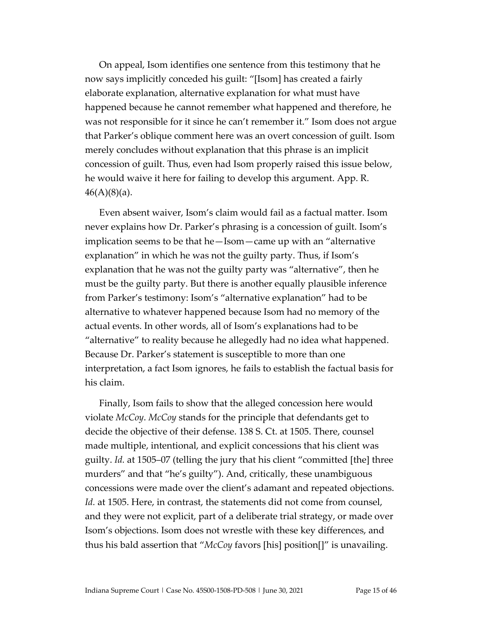On appeal, Isom identifies one sentence from this testimony that he now says implicitly conceded his guilt: "[Isom] has created a fairly elaborate explanation, alternative explanation for what must have happened because he cannot remember what happened and therefore, he was not responsible for it since he can't remember it." Isom does not argue that Parker's oblique comment here was an overt concession of guilt. Isom merely concludes without explanation that this phrase is an implicit concession of guilt. Thus, even had Isom properly raised this issue below, he would waive it here for failing to develop this argument. App. R.  $46(A)(8)(a)$ .

Even absent waiver, Isom's claim would fail as a factual matter. Isom never explains how Dr. Parker's phrasing is a concession of guilt. Isom's implication seems to be that he—Isom—came up with an "alternative explanation" in which he was not the guilty party. Thus, if Isom's explanation that he was not the guilty party was "alternative", then he must be the guilty party. But there is another equally plausible inference from Parker's testimony: Isom's "alternative explanation" had to be alternative to whatever happened because Isom had no memory of the actual events. In other words, all of Isom's explanations had to be "alternative" to reality because he allegedly had no idea what happened. Because Dr. Parker's statement is susceptible to more than one interpretation, a fact Isom ignores, he fails to establish the factual basis for his claim.

Finally, Isom fails to show that the alleged concession here would violate *McCoy*. *McCoy* stands for the principle that defendants get to decide the objective of their defense. 138 S. Ct. at 1505. There, counsel made multiple, intentional, and explicit concessions that his client was guilty. *Id.* at 1505–07 (telling the jury that his client "committed [the] three murders" and that "he's guilty"). And, critically, these unambiguous concessions were made over the client's adamant and repeated objections. *Id.* at 1505. Here, in contrast, the statements did not come from counsel, and they were not explicit, part of a deliberate trial strategy, or made over Isom's objections. Isom does not wrestle with these key differences, and thus his bald assertion that "*McCoy* favors [his] position[]" is unavailing.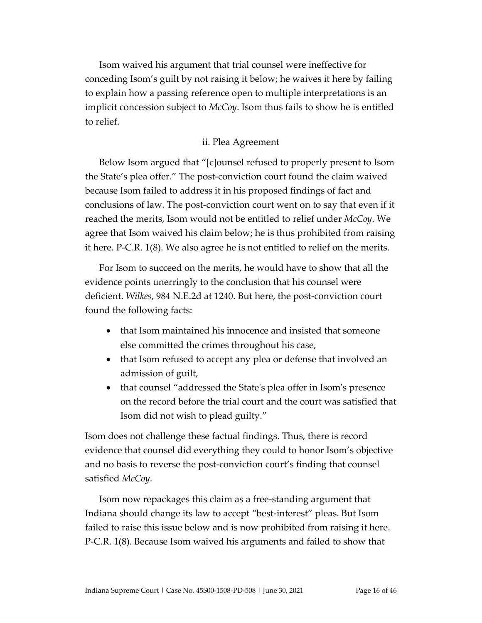Isom waived his argument that trial counsel were ineffective for conceding Isom's guilt by not raising it below; he waives it here by failing to explain how a passing reference open to multiple interpretations is an implicit concession subject to *McCoy*. Isom thus fails to show he is entitled to relief.

## ii. Plea Agreement

Below Isom argued that "[c]ounsel refused to properly present to Isom the State's plea offer." The post-conviction court found the claim waived because Isom failed to address it in his proposed findings of fact and conclusions of law. The post-conviction court went on to say that even if it reached the merits, Isom would not be entitled to relief under *McCoy*. We agree that Isom waived his claim below; he is thus prohibited from raising it here. P-C.R. 1(8). We also agree he is not entitled to relief on the merits.

For Isom to succeed on the merits, he would have to show that all the evidence points unerringly to the conclusion that his counsel were deficient. *Wilkes*, 984 N.E.2d at 1240. But here, the post-conviction court found the following facts:

- that Isom maintained his innocence and insisted that someone else committed the crimes throughout his case,
- that Isom refused to accept any plea or defense that involved an admission of guilt,
- that counsel "addressed the State's plea offer in Isom's presence on the record before the trial court and the court was satisfied that Isom did not wish to plead guilty."

Isom does not challenge these factual findings. Thus, there is record evidence that counsel did everything they could to honor Isom's objective and no basis to reverse the post-conviction court's finding that counsel satisfied *McCoy*.

Isom now repackages this claim as a free-standing argument that Indiana should change its law to accept "best-interest" pleas. But Isom failed to raise this issue below and is now prohibited from raising it here. P-C.R. 1(8). Because Isom waived his arguments and failed to show that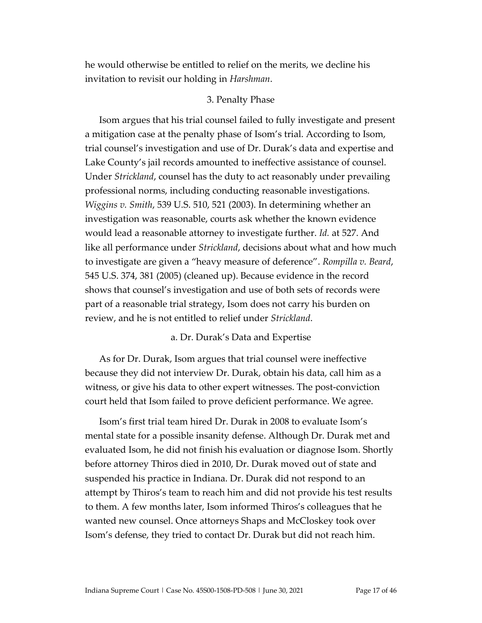he would otherwise be entitled to relief on the merits, we decline his invitation to revisit our holding in *Harshman*.

## 3. Penalty Phase

Isom argues that his trial counsel failed to fully investigate and present a mitigation case at the penalty phase of Isom's trial. According to Isom, trial counsel's investigation and use of Dr. Durak's data and expertise and Lake County's jail records amounted to ineffective assistance of counsel. Under *Strickland*, counsel has the duty to act reasonably under prevailing professional norms, including conducting reasonable investigations. *Wiggins v. Smith*, 539 U.S. 510, 521 (2003). In determining whether an investigation was reasonable, courts ask whether the known evidence would lead a reasonable attorney to investigate further. *Id.* at 527. And like all performance under *Strickland*, decisions about what and how much to investigate are given a "heavy measure of deference". *Rompilla v. Beard*, 545 U.S. 374, 381 (2005) (cleaned up). Because evidence in the record shows that counsel's investigation and use of both sets of records were part of a reasonable trial strategy, Isom does not carry his burden on review, and he is not entitled to relief under *Strickland*.

## a. Dr. Durak's Data and Expertise

As for Dr. Durak, Isom argues that trial counsel were ineffective because they did not interview Dr. Durak, obtain his data, call him as a witness, or give his data to other expert witnesses. The post-conviction court held that Isom failed to prove deficient performance. We agree.

Isom's first trial team hired Dr. Durak in 2008 to evaluate Isom's mental state for a possible insanity defense. Although Dr. Durak met and evaluated Isom, he did not finish his evaluation or diagnose Isom. Shortly before attorney Thiros died in 2010, Dr. Durak moved out of state and suspended his practice in Indiana. Dr. Durak did not respond to an attempt by Thiros's team to reach him and did not provide his test results to them. A few months later, Isom informed Thiros's colleagues that he wanted new counsel. Once attorneys Shaps and McCloskey took over Isom's defense, they tried to contact Dr. Durak but did not reach him.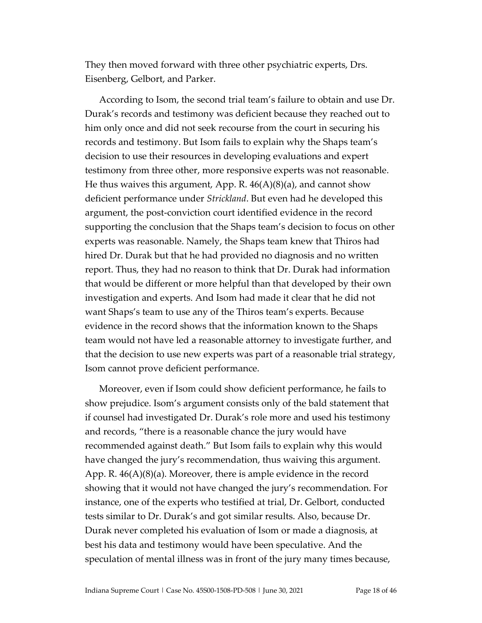They then moved forward with three other psychiatric experts, Drs. Eisenberg, Gelbort, and Parker.

According to Isom, the second trial team's failure to obtain and use Dr. Durak's records and testimony was deficient because they reached out to him only once and did not seek recourse from the court in securing his records and testimony. But Isom fails to explain why the Shaps team's decision to use their resources in developing evaluations and expert testimony from three other, more responsive experts was not reasonable. He thus waives this argument, App. R.  $46(A)(8)(a)$ , and cannot show deficient performance under *Strickland*. But even had he developed this argument, the post-conviction court identified evidence in the record supporting the conclusion that the Shaps team's decision to focus on other experts was reasonable. Namely, the Shaps team knew that Thiros had hired Dr. Durak but that he had provided no diagnosis and no written report. Thus, they had no reason to think that Dr. Durak had information that would be different or more helpful than that developed by their own investigation and experts. And Isom had made it clear that he did not want Shaps's team to use any of the Thiros team's experts. Because evidence in the record shows that the information known to the Shaps team would not have led a reasonable attorney to investigate further, and that the decision to use new experts was part of a reasonable trial strategy, Isom cannot prove deficient performance.

Moreover, even if Isom could show deficient performance, he fails to show prejudice. Isom's argument consists only of the bald statement that if counsel had investigated Dr. Durak's role more and used his testimony and records, "there is a reasonable chance the jury would have recommended against death." But Isom fails to explain why this would have changed the jury's recommendation, thus waiving this argument. App. R. 46(A)(8)(a). Moreover, there is ample evidence in the record showing that it would not have changed the jury's recommendation. For instance, one of the experts who testified at trial, Dr. Gelbort, conducted tests similar to Dr. Durak's and got similar results. Also, because Dr. Durak never completed his evaluation of Isom or made a diagnosis, at best his data and testimony would have been speculative. And the speculation of mental illness was in front of the jury many times because,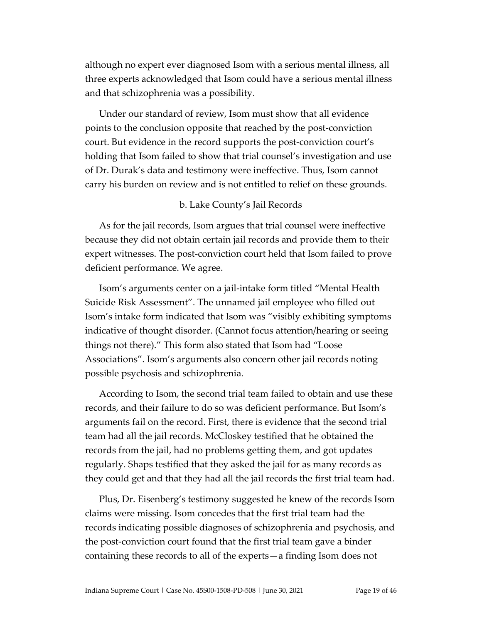although no expert ever diagnosed Isom with a serious mental illness, all three experts acknowledged that Isom could have a serious mental illness and that schizophrenia was a possibility.

Under our standard of review, Isom must show that all evidence points to the conclusion opposite that reached by the post-conviction court. But evidence in the record supports the post-conviction court's holding that Isom failed to show that trial counsel's investigation and use of Dr. Durak's data and testimony were ineffective. Thus, Isom cannot carry his burden on review and is not entitled to relief on these grounds.

## b. Lake County's Jail Records

As for the jail records, Isom argues that trial counsel were ineffective because they did not obtain certain jail records and provide them to their expert witnesses. The post-conviction court held that Isom failed to prove deficient performance. We agree.

Isom's arguments center on a jail-intake form titled "Mental Health Suicide Risk Assessment". The unnamed jail employee who filled out Isom's intake form indicated that Isom was "visibly exhibiting symptoms indicative of thought disorder. (Cannot focus attention/hearing or seeing things not there)." This form also stated that Isom had "Loose Associations". Isom's arguments also concern other jail records noting possible psychosis and schizophrenia.

According to Isom, the second trial team failed to obtain and use these records, and their failure to do so was deficient performance. But Isom's arguments fail on the record. First, there is evidence that the second trial team had all the jail records. McCloskey testified that he obtained the records from the jail, had no problems getting them, and got updates regularly. Shaps testified that they asked the jail for as many records as they could get and that they had all the jail records the first trial team had.

Plus, Dr. Eisenberg's testimony suggested he knew of the records Isom claims were missing. Isom concedes that the first trial team had the records indicating possible diagnoses of schizophrenia and psychosis, and the post-conviction court found that the first trial team gave a binder containing these records to all of the experts—a finding Isom does not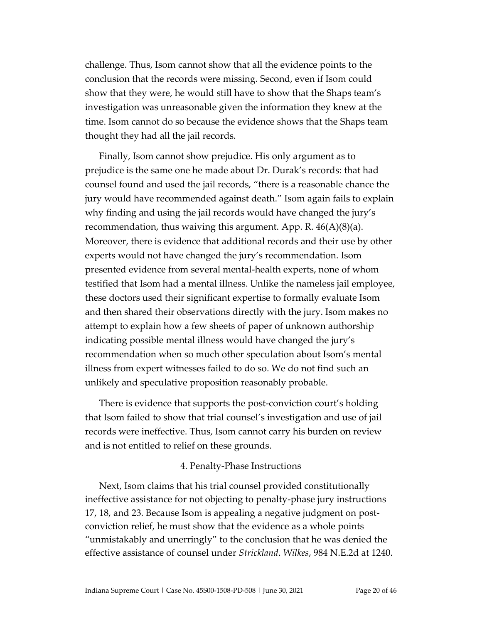challenge. Thus, Isom cannot show that all the evidence points to the conclusion that the records were missing. Second, even if Isom could show that they were, he would still have to show that the Shaps team's investigation was unreasonable given the information they knew at the time. Isom cannot do so because the evidence shows that the Shaps team thought they had all the jail records.

Finally, Isom cannot show prejudice. His only argument as to prejudice is the same one he made about Dr. Durak's records: that had counsel found and used the jail records, "there is a reasonable chance the jury would have recommended against death." Isom again fails to explain why finding and using the jail records would have changed the jury's recommendation, thus waiving this argument. App. R.  $46(A)(8)(a)$ . Moreover, there is evidence that additional records and their use by other experts would not have changed the jury's recommendation. Isom presented evidence from several mental-health experts, none of whom testified that Isom had a mental illness. Unlike the nameless jail employee, these doctors used their significant expertise to formally evaluate Isom and then shared their observations directly with the jury. Isom makes no attempt to explain how a few sheets of paper of unknown authorship indicating possible mental illness would have changed the jury's recommendation when so much other speculation about Isom's mental illness from expert witnesses failed to do so. We do not find such an unlikely and speculative proposition reasonably probable.

There is evidence that supports the post-conviction court's holding that Isom failed to show that trial counsel's investigation and use of jail records were ineffective. Thus, Isom cannot carry his burden on review and is not entitled to relief on these grounds.

#### 4. Penalty-Phase Instructions

Next, Isom claims that his trial counsel provided constitutionally ineffective assistance for not objecting to penalty-phase jury instructions 17, 18, and 23. Because Isom is appealing a negative judgment on postconviction relief, he must show that the evidence as a whole points "unmistakably and unerringly" to the conclusion that he was denied the effective assistance of counsel under *Strickland*. *Wilkes*, 984 N.E.2d at 1240.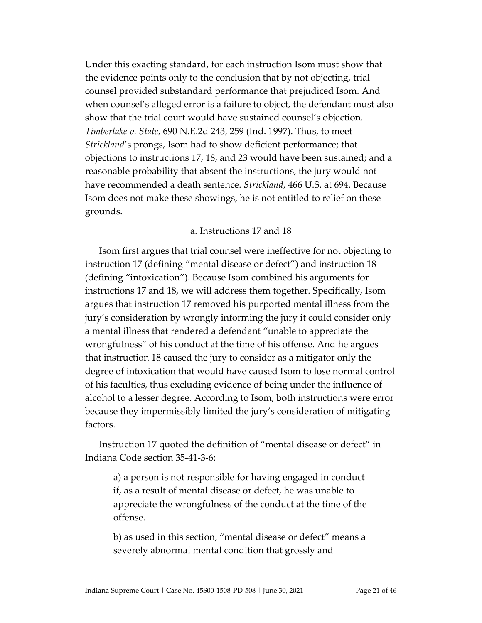Under this exacting standard, for each instruction Isom must show that the evidence points only to the conclusion that by not objecting, trial counsel provided substandard performance that prejudiced Isom. And when counsel's alleged error is a failure to object, the defendant must also show that the trial court would have sustained counsel's objection. *Timberlake v. State,* 690 N.E.2d 243, 259 (Ind. 1997). Thus, to meet *Strickland*'s prongs, Isom had to show deficient performance; that objections to instructions 17, 18, and 23 would have been sustained; and a reasonable probability that absent the instructions, the jury would not have recommended a death sentence. *Strickland*, 466 U.S. at 694. Because Isom does not make these showings, he is not entitled to relief on these grounds.

## a. Instructions 17 and 18

Isom first argues that trial counsel were ineffective for not objecting to instruction 17 (defining "mental disease or defect") and instruction 18 (defining "intoxication"). Because Isom combined his arguments for instructions 17 and 18, we will address them together. Specifically, Isom argues that instruction 17 removed his purported mental illness from the jury's consideration by wrongly informing the jury it could consider only a mental illness that rendered a defendant "unable to appreciate the wrongfulness" of his conduct at the time of his offense. And he argues that instruction 18 caused the jury to consider as a mitigator only the degree of intoxication that would have caused Isom to lose normal control of his faculties, thus excluding evidence of being under the influence of alcohol to a lesser degree. According to Isom, both instructions were error because they impermissibly limited the jury's consideration of mitigating factors.

Instruction 17 quoted the definition of "mental disease or defect" in Indiana Code section 35-41-3-6:

a) a person is not responsible for having engaged in conduct if, as a result of mental disease or defect, he was unable to appreciate the wrongfulness of the conduct at the time of the offense.

b) as used in this section, "mental disease or defect" means a severely abnormal mental condition that grossly and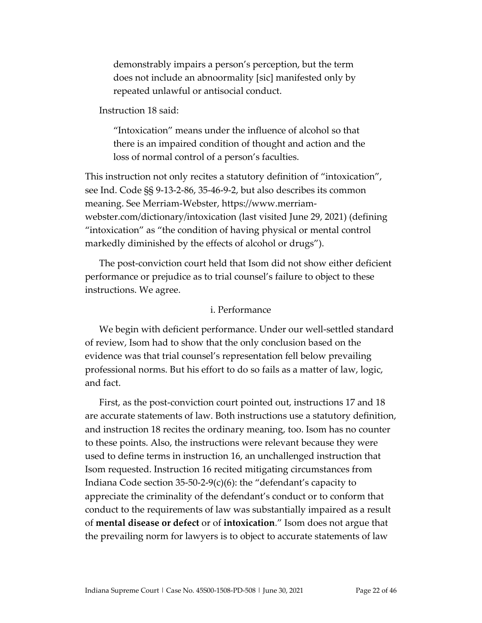demonstrably impairs a person's perception, but the term does not include an abnoormality [sic] manifested only by repeated unlawful or antisocial conduct.

Instruction 18 said:

"Intoxication" means under the influence of alcohol so that there is an impaired condition of thought and action and the loss of normal control of a person's faculties.

This instruction not only recites a statutory definition of "intoxication", see Ind. Code §§ 9-13-2-86, 35-46-9-2, but also describes its common meaning. See Merriam-Webster, https://www.merriamwebster.com/dictionary/intoxication (last visited June 29, 2021) (defining "intoxication" as "the condition of having physical or mental control markedly diminished by the effects of alcohol or drugs").

The post-conviction court held that Isom did not show either deficient performance or prejudice as to trial counsel's failure to object to these instructions. We agree.

#### i. Performance

We begin with deficient performance. Under our well-settled standard of review, Isom had to show that the only conclusion based on the evidence was that trial counsel's representation fell below prevailing professional norms. But his effort to do so fails as a matter of law, logic, and fact.

First, as the post-conviction court pointed out, instructions 17 and 18 are accurate statements of law. Both instructions use a statutory definition, and instruction 18 recites the ordinary meaning, too. Isom has no counter to these points. Also, the instructions were relevant because they were used to define terms in instruction 16, an unchallenged instruction that Isom requested. Instruction 16 recited mitigating circumstances from Indiana Code section 35-50-2-9(c)(6): the "defendant's capacity to appreciate the criminality of the defendant's conduct or to conform that conduct to the requirements of law was substantially impaired as a result of **mental disease or defect** or of **intoxication**." Isom does not argue that the prevailing norm for lawyers is to object to accurate statements of law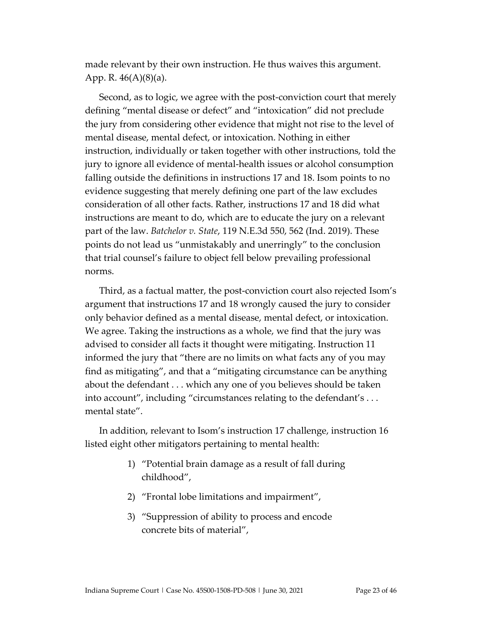made relevant by their own instruction. He thus waives this argument. App. R.  $46(A)(8)(a)$ .

Second, as to logic, we agree with the post-conviction court that merely defining "mental disease or defect" and "intoxication" did not preclude the jury from considering other evidence that might not rise to the level of mental disease, mental defect, or intoxication. Nothing in either instruction, individually or taken together with other instructions, told the jury to ignore all evidence of mental-health issues or alcohol consumption falling outside the definitions in instructions 17 and 18. Isom points to no evidence suggesting that merely defining one part of the law excludes consideration of all other facts. Rather, instructions 17 and 18 did what instructions are meant to do, which are to educate the jury on a relevant part of the law. *Batchelor v. State*, 119 N.E.3d 550, 562 (Ind. 2019). These points do not lead us "unmistakably and unerringly" to the conclusion that trial counsel's failure to object fell below prevailing professional norms.

Third, as a factual matter, the post-conviction court also rejected Isom's argument that instructions 17 and 18 wrongly caused the jury to consider only behavior defined as a mental disease, mental defect, or intoxication. We agree. Taking the instructions as a whole, we find that the jury was advised to consider all facts it thought were mitigating. Instruction 11 informed the jury that "there are no limits on what facts any of you may find as mitigating", and that a "mitigating circumstance can be anything about the defendant . . . which any one of you believes should be taken into account", including "circumstances relating to the defendant's . . . mental state".

In addition, relevant to Isom's instruction 17 challenge, instruction 16 listed eight other mitigators pertaining to mental health:

- 1) "Potential brain damage as a result of fall during childhood",
- 2) "Frontal lobe limitations and impairment",
- 3) "Suppression of ability to process and encode concrete bits of material",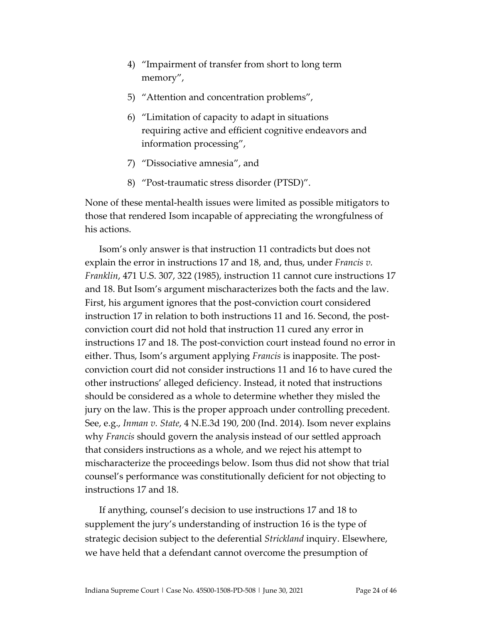- 4) "Impairment of transfer from short to long term memory",
- 5) "Attention and concentration problems",
- 6) "Limitation of capacity to adapt in situations requiring active and efficient cognitive endeavors and information processing",
- 7) "Dissociative amnesia", and
- 8) "Post-traumatic stress disorder (PTSD)".

None of these mental-health issues were limited as possible mitigators to those that rendered Isom incapable of appreciating the wrongfulness of his actions.

Isom's only answer is that instruction 11 contradicts but does not explain the error in instructions 17 and 18, and, thus, under *Francis v. Franklin*, 471 U.S. 307, 322 (1985), instruction 11 cannot cure instructions 17 and 18. But Isom's argument mischaracterizes both the facts and the law. First, his argument ignores that the post-conviction court considered instruction 17 in relation to both instructions 11 and 16. Second, the postconviction court did not hold that instruction 11 cured any error in instructions 17 and 18. The post-conviction court instead found no error in either. Thus, Isom's argument applying *Francis* is inapposite. The postconviction court did not consider instructions 11 and 16 to have cured the other instructions' alleged deficiency. Instead, it noted that instructions should be considered as a whole to determine whether they misled the jury on the law. This is the proper approach under controlling precedent. See, e.g., *Inman v. State*, 4 N.E.3d 190, 200 (Ind. 2014). Isom never explains why *Francis* should govern the analysis instead of our settled approach that considers instructions as a whole, and we reject his attempt to mischaracterize the proceedings below. Isom thus did not show that trial counsel's performance was constitutionally deficient for not objecting to instructions 17 and 18.

If anything, counsel's decision to use instructions 17 and 18 to supplement the jury's understanding of instruction 16 is the type of strategic decision subject to the deferential *Strickland* inquiry. Elsewhere, we have held that a defendant cannot overcome the presumption of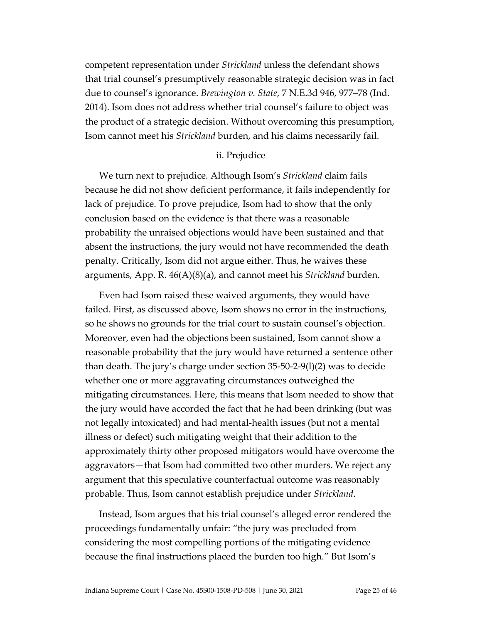competent representation under *Strickland* unless the defendant shows that trial counsel's presumptively reasonable strategic decision was in fact due to counsel's ignorance. *Brewington v. State*, 7 N.E.3d 946, 977–78 (Ind. 2014). Isom does not address whether trial counsel's failure to object was the product of a strategic decision. Without overcoming this presumption, Isom cannot meet his *Strickland* burden, and his claims necessarily fail.

#### ii. Prejudice

We turn next to prejudice. Although Isom's *Strickland* claim fails because he did not show deficient performance, it fails independently for lack of prejudice. To prove prejudice, Isom had to show that the only conclusion based on the evidence is that there was a reasonable probability the unraised objections would have been sustained and that absent the instructions, the jury would not have recommended the death penalty. Critically, Isom did not argue either. Thus, he waives these arguments, App. R. 46(A)(8)(a), and cannot meet his *Strickland* burden.

Even had Isom raised these waived arguments, they would have failed. First, as discussed above, Isom shows no error in the instructions, so he shows no grounds for the trial court to sustain counsel's objection. Moreover, even had the objections been sustained, Isom cannot show a reasonable probability that the jury would have returned a sentence other than death. The jury's charge under section 35-50-2-9(l)(2) was to decide whether one or more aggravating circumstances outweighed the mitigating circumstances. Here, this means that Isom needed to show that the jury would have accorded the fact that he had been drinking (but was not legally intoxicated) and had mental-health issues (but not a mental illness or defect) such mitigating weight that their addition to the approximately thirty other proposed mitigators would have overcome the aggravators—that Isom had committed two other murders. We reject any argument that this speculative counterfactual outcome was reasonably probable. Thus, Isom cannot establish prejudice under *Strickland*.

Instead, Isom argues that his trial counsel's alleged error rendered the proceedings fundamentally unfair: "the jury was precluded from considering the most compelling portions of the mitigating evidence because the final instructions placed the burden too high." But Isom's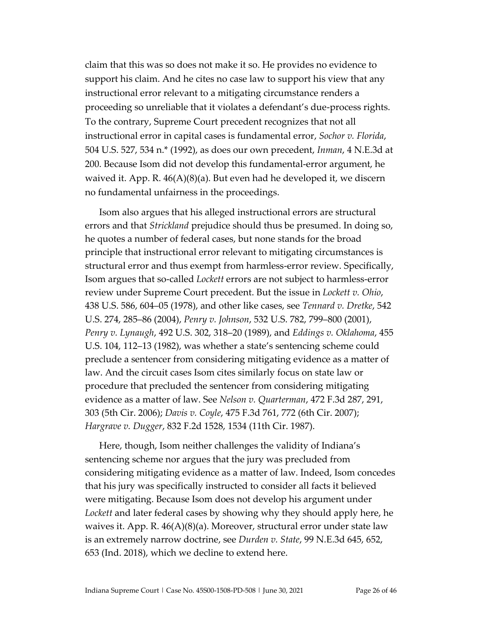claim that this was so does not make it so. He provides no evidence to support his claim. And he cites no case law to support his view that any instructional error relevant to a mitigating circumstance renders a proceeding so unreliable that it violates a defendant's due-process rights. To the contrary, Supreme Court precedent recognizes that not all instructional error in capital cases is fundamental error, *Sochor v. Florida*, 504 U.S. 527, 534 n.\* (1992), as does our own precedent, *Inman*, 4 N.E.3d at 200. Because Isom did not develop this fundamental-error argument, he waived it. App. R. 46(A)(8)(a). But even had he developed it, we discern no fundamental unfairness in the proceedings.

Isom also argues that his alleged instructional errors are structural errors and that *Strickland* prejudice should thus be presumed. In doing so, he quotes a number of federal cases, but none stands for the broad principle that instructional error relevant to mitigating circumstances is structural error and thus exempt from harmless-error review. Specifically, Isom argues that so-called *Lockett* errors are not subject to harmless-error review under Supreme Court precedent. But the issue in *Lockett v. Ohio*, 438 U.S. 586, 604–05 (1978), and other like cases, see *Tennard v. Dretke*, 542 U.S. 274, 285–86 (2004), *Penry v. Johnson*, 532 U.S. 782, 799–800 (2001), *Penry v. Lynaugh*, 492 U.S. 302, 318–20 (1989), and *Eddings v. Oklahoma*, 455 U.S. 104, 112–13 (1982), was whether a state's sentencing scheme could preclude a sentencer from considering mitigating evidence as a matter of law. And the circuit cases Isom cites similarly focus on state law or procedure that precluded the sentencer from considering mitigating evidence as a matter of law. See *Nelson v. Quarterman*, 472 F.3d 287, 291, 303 (5th Cir. 2006); *Davis v. Coyle*, 475 F.3d 761, 772 (6th Cir. 2007); *Hargrave v. Dugger*, 832 F.2d 1528, 1534 (11th Cir. 1987).

Here, though, Isom neither challenges the validity of Indiana's sentencing scheme nor argues that the jury was precluded from considering mitigating evidence as a matter of law. Indeed, Isom concedes that his jury was specifically instructed to consider all facts it believed were mitigating. Because Isom does not develop his argument under *Lockett* and later federal cases by showing why they should apply here, he waives it. App. R. 46(A)(8)(a). Moreover, structural error under state law is an extremely narrow doctrine, see *Durden v. State*, 99 N.E.3d 645, 652, 653 (Ind. 2018), which we decline to extend here.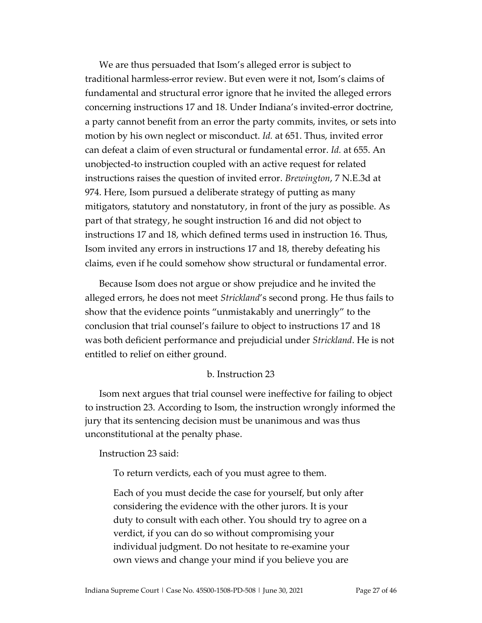We are thus persuaded that Isom's alleged error is subject to traditional harmless-error review. But even were it not, Isom's claims of fundamental and structural error ignore that he invited the alleged errors concerning instructions 17 and 18. Under Indiana's invited-error doctrine, a party cannot benefit from an error the party commits, invites, or sets into motion by his own neglect or misconduct. *Id.* at 651. Thus, invited error can defeat a claim of even structural or fundamental error. *Id.* at 655. An unobjected-to instruction coupled with an active request for related instructions raises the question of invited error. *Brewington*, 7 N.E.3d at 974. Here, Isom pursued a deliberate strategy of putting as many mitigators, statutory and nonstatutory, in front of the jury as possible. As part of that strategy, he sought instruction 16 and did not object to instructions 17 and 18, which defined terms used in instruction 16. Thus, Isom invited any errors in instructions 17 and 18, thereby defeating his claims, even if he could somehow show structural or fundamental error.

Because Isom does not argue or show prejudice and he invited the alleged errors, he does not meet *Strickland*'s second prong. He thus fails to show that the evidence points "unmistakably and unerringly" to the conclusion that trial counsel's failure to object to instructions 17 and 18 was both deficient performance and prejudicial under *Strickland*. He is not entitled to relief on either ground.

#### b. Instruction 23

Isom next argues that trial counsel were ineffective for failing to object to instruction 23. According to Isom, the instruction wrongly informed the jury that its sentencing decision must be unanimous and was thus unconstitutional at the penalty phase.

Instruction 23 said:

To return verdicts, each of you must agree to them.

Each of you must decide the case for yourself, but only after considering the evidence with the other jurors. It is your duty to consult with each other. You should try to agree on a verdict, if you can do so without compromising your individual judgment. Do not hesitate to re-examine your own views and change your mind if you believe you are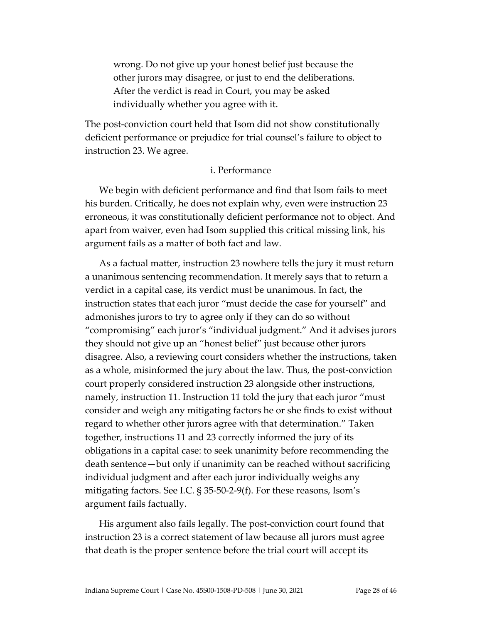wrong. Do not give up your honest belief just because the other jurors may disagree, or just to end the deliberations. After the verdict is read in Court, you may be asked individually whether you agree with it.

The post-conviction court held that Isom did not show constitutionally deficient performance or prejudice for trial counsel's failure to object to instruction 23. We agree.

#### i. Performance

We begin with deficient performance and find that Isom fails to meet his burden. Critically, he does not explain why, even were instruction 23 erroneous, it was constitutionally deficient performance not to object. And apart from waiver, even had Isom supplied this critical missing link, his argument fails as a matter of both fact and law.

As a factual matter, instruction 23 nowhere tells the jury it must return a unanimous sentencing recommendation. It merely says that to return a verdict in a capital case, its verdict must be unanimous. In fact, the instruction states that each juror "must decide the case for yourself" and admonishes jurors to try to agree only if they can do so without "compromising" each juror's "individual judgment." And it advises jurors they should not give up an "honest belief" just because other jurors disagree. Also, a reviewing court considers whether the instructions, taken as a whole, misinformed the jury about the law. Thus, the post-conviction court properly considered instruction 23 alongside other instructions, namely, instruction 11. Instruction 11 told the jury that each juror "must consider and weigh any mitigating factors he or she finds to exist without regard to whether other jurors agree with that determination." Taken together, instructions 11 and 23 correctly informed the jury of its obligations in a capital case: to seek unanimity before recommending the death sentence—but only if unanimity can be reached without sacrificing individual judgment and after each juror individually weighs any mitigating factors. See I.C. § 35-50-2-9(f). For these reasons, Isom's argument fails factually.

His argument also fails legally. The post-conviction court found that instruction 23 is a correct statement of law because all jurors must agree that death is the proper sentence before the trial court will accept its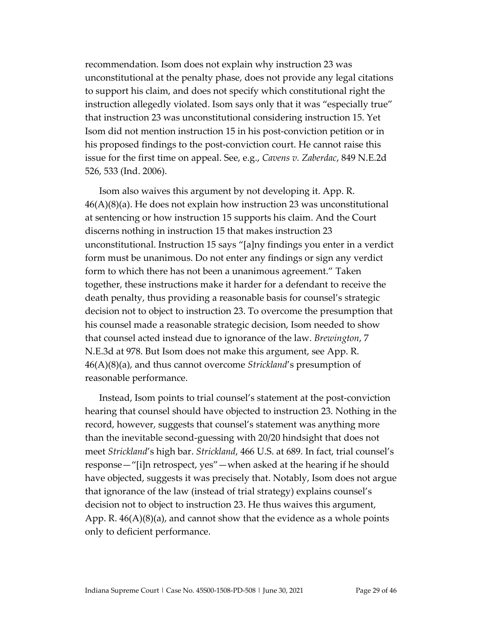recommendation. Isom does not explain why instruction 23 was unconstitutional at the penalty phase, does not provide any legal citations to support his claim, and does not specify which constitutional right the instruction allegedly violated. Isom says only that it was "especially true" that instruction 23 was unconstitutional considering instruction 15. Yet Isom did not mention instruction 15 in his post-conviction petition or in his proposed findings to the post-conviction court. He cannot raise this issue for the first time on appeal. See, e.g., *Cavens v. Zaberdac*, 849 N.E.2d 526, 533 (Ind. 2006).

Isom also waives this argument by not developing it. App. R.  $46(A)(8)(a)$ . He does not explain how instruction 23 was unconstitutional at sentencing or how instruction 15 supports his claim. And the Court discerns nothing in instruction 15 that makes instruction 23 unconstitutional. Instruction 15 says "[a]ny findings you enter in a verdict form must be unanimous. Do not enter any findings or sign any verdict form to which there has not been a unanimous agreement." Taken together, these instructions make it harder for a defendant to receive the death penalty, thus providing a reasonable basis for counsel's strategic decision not to object to instruction 23. To overcome the presumption that his counsel made a reasonable strategic decision, Isom needed to show that counsel acted instead due to ignorance of the law. *Brewington*, 7 N.E.3d at 978. But Isom does not make this argument, see App. R. 46(A)(8)(a), and thus cannot overcome *Strickland*'s presumption of reasonable performance.

Instead, Isom points to trial counsel's statement at the post-conviction hearing that counsel should have objected to instruction 23. Nothing in the record, however, suggests that counsel's statement was anything more than the inevitable second-guessing with 20/20 hindsight that does not meet *Strickland*'s high bar. *Strickland*, 466 U.S. at 689. In fact, trial counsel's response—"[i]n retrospect, yes"—when asked at the hearing if he should have objected, suggests it was precisely that. Notably, Isom does not argue that ignorance of the law (instead of trial strategy) explains counsel's decision not to object to instruction 23. He thus waives this argument, App. R.  $46(A)(8)(a)$ , and cannot show that the evidence as a whole points only to deficient performance.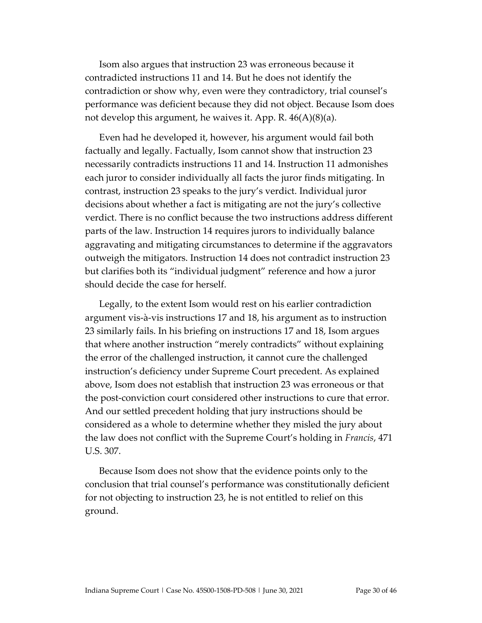Isom also argues that instruction 23 was erroneous because it contradicted instructions 11 and 14. But he does not identify the contradiction or show why, even were they contradictory, trial counsel's performance was deficient because they did not object. Because Isom does not develop this argument, he waives it. App. R. 46(A)(8)(a).

Even had he developed it, however, his argument would fail both factually and legally. Factually, Isom cannot show that instruction 23 necessarily contradicts instructions 11 and 14. Instruction 11 admonishes each juror to consider individually all facts the juror finds mitigating. In contrast, instruction 23 speaks to the jury's verdict. Individual juror decisions about whether a fact is mitigating are not the jury's collective verdict. There is no conflict because the two instructions address different parts of the law. Instruction 14 requires jurors to individually balance aggravating and mitigating circumstances to determine if the aggravators outweigh the mitigators. Instruction 14 does not contradict instruction 23 but clarifies both its "individual judgment" reference and how a juror should decide the case for herself.

Legally, to the extent Isom would rest on his earlier contradiction argument vis-à-vis instructions 17 and 18, his argument as to instruction 23 similarly fails. In his briefing on instructions 17 and 18, Isom argues that where another instruction "merely contradicts" without explaining the error of the challenged instruction, it cannot cure the challenged instruction's deficiency under Supreme Court precedent. As explained above, Isom does not establish that instruction 23 was erroneous or that the post-conviction court considered other instructions to cure that error. And our settled precedent holding that jury instructions should be considered as a whole to determine whether they misled the jury about the law does not conflict with the Supreme Court's holding in *Francis*, 471 U.S. 307.

Because Isom does not show that the evidence points only to the conclusion that trial counsel's performance was constitutionally deficient for not objecting to instruction 23, he is not entitled to relief on this ground.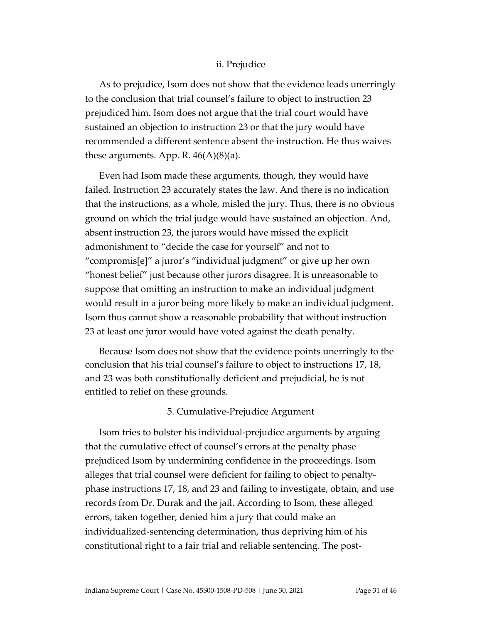#### ii. Prejudice

As to prejudice, Isom does not show that the evidence leads unerringly to the conclusion that trial counsel's failure to object to instruction 23 prejudiced him. Isom does not argue that the trial court would have sustained an objection to instruction 23 or that the jury would have recommended a different sentence absent the instruction. He thus waives these arguments. App. R.  $46(A)(8)(a)$ .

Even had Isom made these arguments, though, they would have failed. Instruction 23 accurately states the law. And there is no indication that the instructions, as a whole, misled the jury. Thus, there is no obvious ground on which the trial judge would have sustained an objection. And, absent instruction 23, the jurors would have missed the explicit admonishment to "decide the case for yourself" and not to "compromis[e]" a juror's "individual judgment" or give up her own "honest belief" just because other jurors disagree. It is unreasonable to suppose that omitting an instruction to make an individual judgment would result in a juror being more likely to make an individual judgment. Isom thus cannot show a reasonable probability that without instruction 23 at least one juror would have voted against the death penalty.

Because Isom does not show that the evidence points unerringly to the conclusion that his trial counsel's failure to object to instructions 17, 18, and 23 was both constitutionally deficient and prejudicial, he is not entitled to relief on these grounds.

#### 5. Cumulative-Prejudice Argument

Isom tries to bolster his individual-prejudice arguments by arguing that the cumulative effect of counsel's errors at the penalty phase prejudiced Isom by undermining confidence in the proceedings. Isom alleges that trial counsel were deficient for failing to object to penaltyphase instructions 17, 18, and 23 and failing to investigate, obtain, and use records from Dr. Durak and the jail. According to Isom, these alleged errors, taken together, denied him a jury that could make an individualized-sentencing determination, thus depriving him of his constitutional right to a fair trial and reliable sentencing. The post-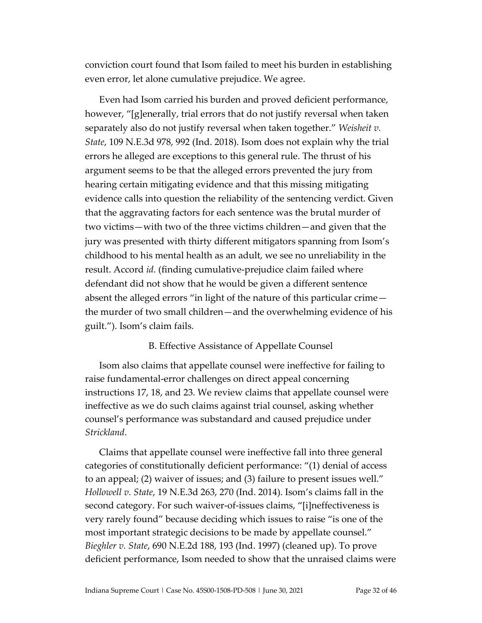conviction court found that Isom failed to meet his burden in establishing even error, let alone cumulative prejudice. We agree.

Even had Isom carried his burden and proved deficient performance, however, "[g]enerally, trial errors that do not justify reversal when taken separately also do not justify reversal when taken together." *Weisheit v. State*, 109 N.E.3d 978, 992 (Ind. 2018). Isom does not explain why the trial errors he alleged are exceptions to this general rule. The thrust of his argument seems to be that the alleged errors prevented the jury from hearing certain mitigating evidence and that this missing mitigating evidence calls into question the reliability of the sentencing verdict. Given that the aggravating factors for each sentence was the brutal murder of two victims—with two of the three victims children—and given that the jury was presented with thirty different mitigators spanning from Isom's childhood to his mental health as an adult, we see no unreliability in the result. Accord *id.* (finding cumulative-prejudice claim failed where defendant did not show that he would be given a different sentence absent the alleged errors "in light of the nature of this particular crime the murder of two small children—and the overwhelming evidence of his guilt."). Isom's claim fails.

## B. Effective Assistance of Appellate Counsel

Isom also claims that appellate counsel were ineffective for failing to raise fundamental-error challenges on direct appeal concerning instructions 17, 18, and 23. We review claims that appellate counsel were ineffective as we do such claims against trial counsel, asking whether counsel's performance was substandard and caused prejudice under *Strickland*.

Claims that appellate counsel were ineffective fall into three general categories of constitutionally deficient performance: "(1) denial of access to an appeal; (2) waiver of issues; and (3) failure to present issues well." *Hollowell v. State*, 19 N.E.3d 263, 270 (Ind. 2014). Isom's claims fall in the second category. For such waiver-of-issues claims, "[i]neffectiveness is very rarely found" because deciding which issues to raise "is one of the most important strategic decisions to be made by appellate counsel." *Bieghler v. State*, 690 N.E.2d 188, 193 (Ind. 1997) (cleaned up). To prove deficient performance, Isom needed to show that the unraised claims were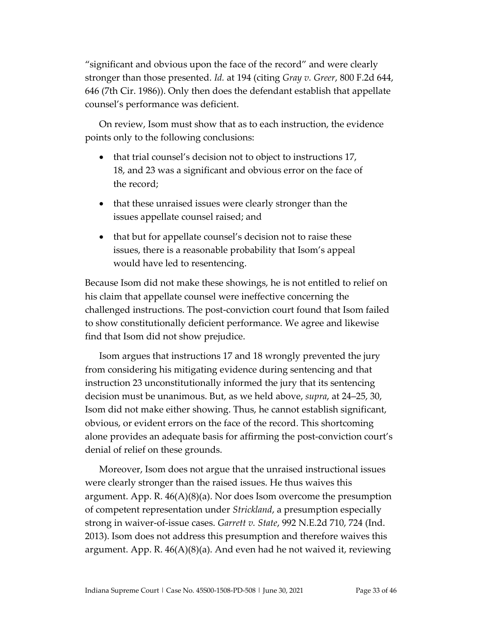"significant and obvious upon the face of the record" and were clearly stronger than those presented. *Id.* at 194 (citing *Gray v. Greer*, 800 F.2d 644, 646 (7th Cir. 1986)). Only then does the defendant establish that appellate counsel's performance was deficient.

On review, Isom must show that as to each instruction, the evidence points only to the following conclusions:

- that trial counsel's decision not to object to instructions 17, 18, and 23 was a significant and obvious error on the face of the record;
- that these unraised issues were clearly stronger than the issues appellate counsel raised; and
- that but for appellate counsel's decision not to raise these issues, there is a reasonable probability that Isom's appeal would have led to resentencing.

Because Isom did not make these showings, he is not entitled to relief on his claim that appellate counsel were ineffective concerning the challenged instructions. The post-conviction court found that Isom failed to show constitutionally deficient performance. We agree and likewise find that Isom did not show prejudice.

Isom argues that instructions 17 and 18 wrongly prevented the jury from considering his mitigating evidence during sentencing and that instruction 23 unconstitutionally informed the jury that its sentencing decision must be unanimous. But, as we held above, *supra*, at 24–25, 30, Isom did not make either showing. Thus, he cannot establish significant, obvious, or evident errors on the face of the record. This shortcoming alone provides an adequate basis for affirming the post-conviction court's denial of relief on these grounds.

Moreover, Isom does not argue that the unraised instructional issues were clearly stronger than the raised issues. He thus waives this argument. App. R.  $46(A)(8)(a)$ . Nor does Isom overcome the presumption of competent representation under *Strickland*, a presumption especially strong in waiver-of-issue cases. *Garrett v. State*, 992 N.E.2d 710, 724 (Ind. 2013). Isom does not address this presumption and therefore waives this argument. App. R.  $46(A)(8)(a)$ . And even had he not waived it, reviewing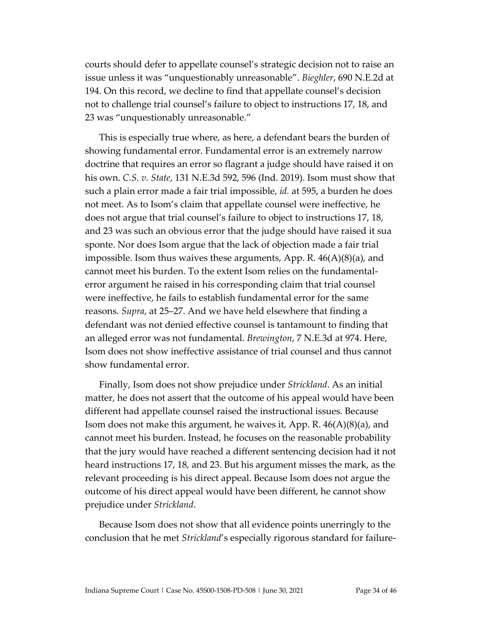courts should defer to appellate counsel's strategic decision not to raise an issue unless it was "unquestionably unreasonable". *Bieghler*, 690 N.E.2d at 194. On this record, we decline to find that appellate counsel's decision not to challenge trial counsel's failure to object to instructions 17, 18, and 23 was "unquestionably unreasonable."

This is especially true where, as here, a defendant bears the burden of showing fundamental error. Fundamental error is an extremely narrow doctrine that requires an error so flagrant a judge should have raised it on his own. *C.S. v. State*, 131 N.E.3d 592, 596 (Ind. 2019). Isom must show that such a plain error made a fair trial impossible, *id.* at 595, a burden he does not meet. As to Isom's claim that appellate counsel were ineffective, he does not argue that trial counsel's failure to object to instructions 17, 18, and 23 was such an obvious error that the judge should have raised it sua sponte. Nor does Isom argue that the lack of objection made a fair trial impossible. Isom thus waives these arguments, App. R. 46(A)(8)(a), and cannot meet his burden. To the extent Isom relies on the fundamentalerror argument he raised in his corresponding claim that trial counsel were ineffective, he fails to establish fundamental error for the same reasons. *Supra*, at 25–27. And we have held elsewhere that finding a defendant was not denied effective counsel is tantamount to finding that an alleged error was not fundamental. *Brewington*, 7 N.E.3d at 974. Here, Isom does not show ineffective assistance of trial counsel and thus cannot show fundamental error.

Finally, Isom does not show prejudice under *Strickland*. As an initial matter, he does not assert that the outcome of his appeal would have been different had appellate counsel raised the instructional issues. Because Isom does not make this argument, he waives it, App. R. 46(A)(8)(a), and cannot meet his burden. Instead, he focuses on the reasonable probability that the jury would have reached a different sentencing decision had it not heard instructions 17, 18, and 23. But his argument misses the mark, as the relevant proceeding is his direct appeal. Because Isom does not argue the outcome of his direct appeal would have been different, he cannot show prejudice under *Strickland*.

Because Isom does not show that all evidence points unerringly to the conclusion that he met *Strickland*'s especially rigorous standard for failure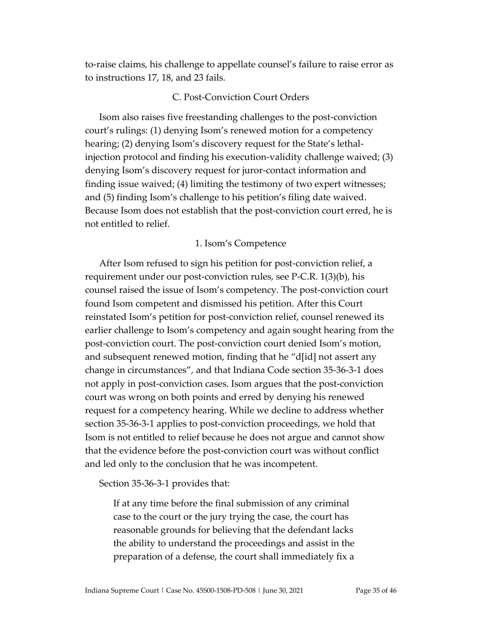to-raise claims, his challenge to appellate counsel's failure to raise error as to instructions 17, 18, and 23 fails.

#### C. Post-Conviction Court Orders

Isom also raises five freestanding challenges to the post-conviction court's rulings: (1) denying Isom's renewed motion for a competency hearing; (2) denying Isom's discovery request for the State's lethalinjection protocol and finding his execution-validity challenge waived; (3) denying Isom's discovery request for juror-contact information and finding issue waived; (4) limiting the testimony of two expert witnesses; and (5) finding Isom's challenge to his petition's filing date waived. Because Isom does not establish that the post-conviction court erred, he is not entitled to relief.

#### 1. Isom's Competence

After Isom refused to sign his petition for post-conviction relief, a requirement under our post-conviction rules, see P-C.R. 1(3)(b), his counsel raised the issue of Isom's competency. The post-conviction court found Isom competent and dismissed his petition. After this Court reinstated Isom's petition for post-conviction relief, counsel renewed its earlier challenge to Isom's competency and again sought hearing from the post-conviction court. The post-conviction court denied Isom's motion, and subsequent renewed motion, finding that he "d[id] not assert any change in circumstances", and that Indiana Code section 35-36-3-1 does not apply in post-conviction cases. Isom argues that the post-conviction court was wrong on both points and erred by denying his renewed request for a competency hearing. While we decline to address whether section 35-36-3-1 applies to post-conviction proceedings, we hold that Isom is not entitled to relief because he does not argue and cannot show that the evidence before the post-conviction court was without conflict and led only to the conclusion that he was incompetent.

Section 35-36-3-1 provides that:

If at any time before the final submission of any criminal case to the court or the jury trying the case, the court has reasonable grounds for believing that the defendant lacks the ability to understand the proceedings and assist in the preparation of a defense, the court shall immediately fix a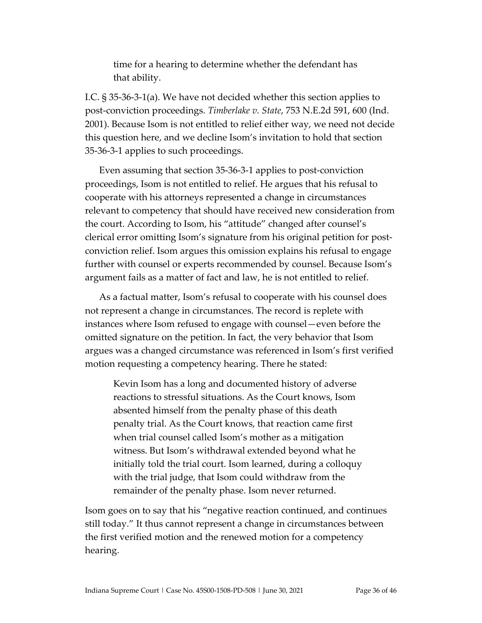time for a hearing to determine whether the defendant has that ability.

I.C. § 35-36-3-1(a). We have not decided whether this section applies to post-conviction proceedings. *Timberlake v. State*, 753 N.E.2d 591, 600 (Ind. 2001). Because Isom is not entitled to relief either way, we need not decide this question here, and we decline Isom's invitation to hold that section 35-36-3-1 applies to such proceedings.

Even assuming that section 35-36-3-1 applies to post-conviction proceedings, Isom is not entitled to relief. He argues that his refusal to cooperate with his attorneys represented a change in circumstances relevant to competency that should have received new consideration from the court. According to Isom, his "attitude" changed after counsel's clerical error omitting Isom's signature from his original petition for postconviction relief. Isom argues this omission explains his refusal to engage further with counsel or experts recommended by counsel. Because Isom's argument fails as a matter of fact and law, he is not entitled to relief.

As a factual matter, Isom's refusal to cooperate with his counsel does not represent a change in circumstances. The record is replete with instances where Isom refused to engage with counsel—even before the omitted signature on the petition. In fact, the very behavior that Isom argues was a changed circumstance was referenced in Isom's first verified motion requesting a competency hearing. There he stated:

Kevin Isom has a long and documented history of adverse reactions to stressful situations. As the Court knows, Isom absented himself from the penalty phase of this death penalty trial. As the Court knows, that reaction came first when trial counsel called Isom's mother as a mitigation witness. But Isom's withdrawal extended beyond what he initially told the trial court. Isom learned, during a colloquy with the trial judge, that Isom could withdraw from the remainder of the penalty phase. Isom never returned.

Isom goes on to say that his "negative reaction continued, and continues still today." It thus cannot represent a change in circumstances between the first verified motion and the renewed motion for a competency hearing.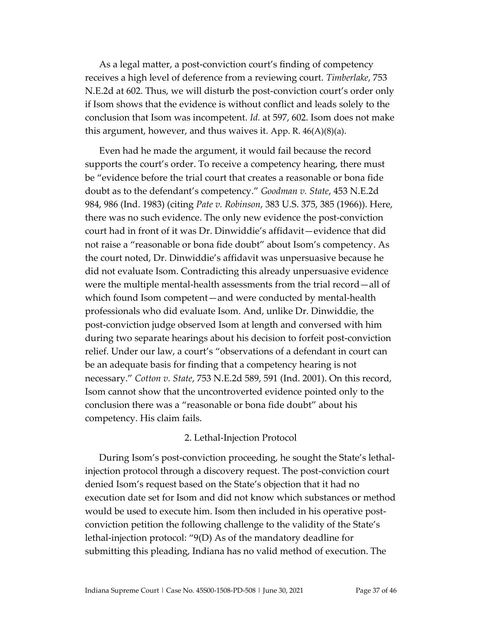As a legal matter, a post-conviction court's finding of competency receives a high level of deference from a reviewing court. *Timberlake*, 753 N.E.2d at 602. Thus, we will disturb the post-conviction court's order only if Isom shows that the evidence is without conflict and leads solely to the conclusion that Isom was incompetent. *Id.* at 597, 602. Isom does not make this argument, however, and thus waives it. App. R. 46(A)(8)(a).

Even had he made the argument, it would fail because the record supports the court's order. To receive a competency hearing, there must be "evidence before the trial court that creates a reasonable or bona fide doubt as to the defendant's competency." *Goodman v. State*, 453 N.E.2d 984, 986 (Ind. 1983) (citing *Pate v. Robinson*, 383 U.S. 375, 385 (1966)). Here, there was no such evidence. The only new evidence the post-conviction court had in front of it was Dr. Dinwiddie's affidavit—evidence that did not raise a "reasonable or bona fide doubt" about Isom's competency. As the court noted, Dr. Dinwiddie's affidavit was unpersuasive because he did not evaluate Isom. Contradicting this already unpersuasive evidence were the multiple mental-health assessments from the trial record—all of which found Isom competent—and were conducted by mental-health professionals who did evaluate Isom. And, unlike Dr. Dinwiddie, the post-conviction judge observed Isom at length and conversed with him during two separate hearings about his decision to forfeit post-conviction relief. Under our law, a court's "observations of a defendant in court can be an adequate basis for finding that a competency hearing is not necessary." *Cotton v. State*, 753 N.E.2d 589, 591 (Ind. 2001). On this record, Isom cannot show that the uncontroverted evidence pointed only to the conclusion there was a "reasonable or bona fide doubt" about his competency. His claim fails.

## 2. Lethal-Injection Protocol

During Isom's post-conviction proceeding, he sought the State's lethalinjection protocol through a discovery request. The post-conviction court denied Isom's request based on the State's objection that it had no execution date set for Isom and did not know which substances or method would be used to execute him. Isom then included in his operative postconviction petition the following challenge to the validity of the State's lethal-injection protocol: "9(D) As of the mandatory deadline for submitting this pleading, Indiana has no valid method of execution. The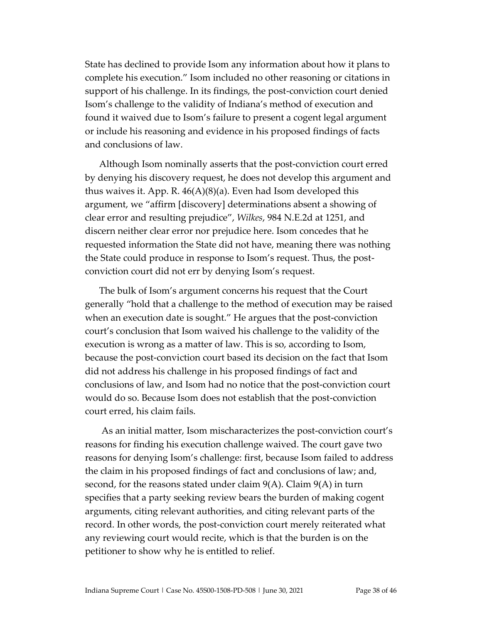State has declined to provide Isom any information about how it plans to complete his execution." Isom included no other reasoning or citations in support of his challenge. In its findings, the post-conviction court denied Isom's challenge to the validity of Indiana's method of execution and found it waived due to Isom's failure to present a cogent legal argument or include his reasoning and evidence in his proposed findings of facts and conclusions of law.

Although Isom nominally asserts that the post-conviction court erred by denying his discovery request, he does not develop this argument and thus waives it. App. R. 46(A)(8)(a). Even had Isom developed this argument, we "affirm [discovery] determinations absent a showing of clear error and resulting prejudice", *Wilkes*, 984 N.E.2d at 1251, and discern neither clear error nor prejudice here. Isom concedes that he requested information the State did not have, meaning there was nothing the State could produce in response to Isom's request. Thus, the postconviction court did not err by denying Isom's request.

The bulk of Isom's argument concerns his request that the Court generally "hold that a challenge to the method of execution may be raised when an execution date is sought." He argues that the post-conviction court's conclusion that Isom waived his challenge to the validity of the execution is wrong as a matter of law. This is so, according to Isom, because the post-conviction court based its decision on the fact that Isom did not address his challenge in his proposed findings of fact and conclusions of law, and Isom had no notice that the post-conviction court would do so. Because Isom does not establish that the post-conviction court erred, his claim fails.

As an initial matter, Isom mischaracterizes the post-conviction court's reasons for finding his execution challenge waived. The court gave two reasons for denying Isom's challenge: first, because Isom failed to address the claim in his proposed findings of fact and conclusions of law; and, second, for the reasons stated under claim 9(A). Claim 9(A) in turn specifies that a party seeking review bears the burden of making cogent arguments, citing relevant authorities, and citing relevant parts of the record. In other words, the post-conviction court merely reiterated what any reviewing court would recite, which is that the burden is on the petitioner to show why he is entitled to relief.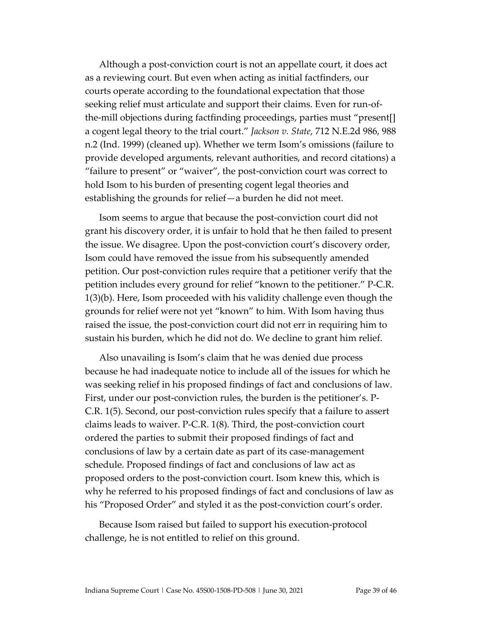Although a post-conviction court is not an appellate court, it does act as a reviewing court. But even when acting as initial factfinders, our courts operate according to the foundational expectation that those seeking relief must articulate and support their claims. Even for run-ofthe-mill objections during factfinding proceedings, parties must "present[] a cogent legal theory to the trial court." *Jackson v. State*, 712 N.E.2d 986, 988 n.2 (Ind. 1999) (cleaned up). Whether we term Isom's omissions (failure to provide developed arguments, relevant authorities, and record citations) a "failure to present" or "waiver", the post-conviction court was correct to hold Isom to his burden of presenting cogent legal theories and establishing the grounds for relief—a burden he did not meet.

Isom seems to argue that because the post-conviction court did not grant his discovery order, it is unfair to hold that he then failed to present the issue. We disagree. Upon the post-conviction court's discovery order, Isom could have removed the issue from his subsequently amended petition. Our post-conviction rules require that a petitioner verify that the petition includes every ground for relief "known to the petitioner." P-C.R. 1(3)(b). Here, Isom proceeded with his validity challenge even though the grounds for relief were not yet "known" to him. With Isom having thus raised the issue, the post-conviction court did not err in requiring him to sustain his burden, which he did not do. We decline to grant him relief.

Also unavailing is Isom's claim that he was denied due process because he had inadequate notice to include all of the issues for which he was seeking relief in his proposed findings of fact and conclusions of law. First, under our post-conviction rules, the burden is the petitioner's. P-C.R. 1(5). Second, our post-conviction rules specify that a failure to assert claims leads to waiver. P-C.R. 1(8). Third, the post-conviction court ordered the parties to submit their proposed findings of fact and conclusions of law by a certain date as part of its case-management schedule. Proposed findings of fact and conclusions of law act as proposed orders to the post-conviction court. Isom knew this, which is why he referred to his proposed findings of fact and conclusions of law as his "Proposed Order" and styled it as the post-conviction court's order.

Because Isom raised but failed to support his execution-protocol challenge, he is not entitled to relief on this ground.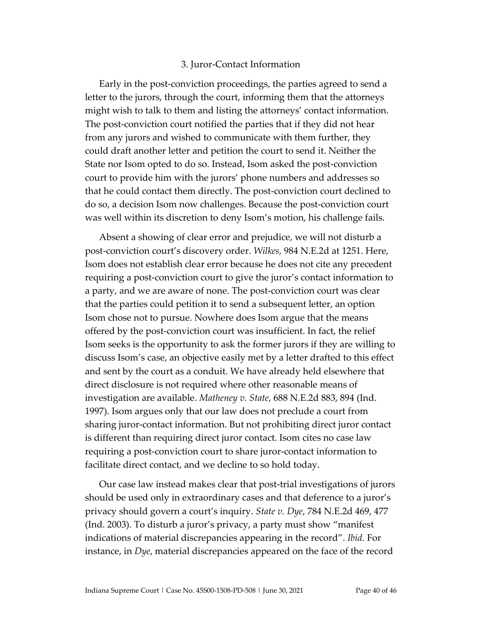#### 3. Juror-Contact Information

Early in the post-conviction proceedings, the parties agreed to send a letter to the jurors, through the court, informing them that the attorneys might wish to talk to them and listing the attorneys' contact information. The post-conviction court notified the parties that if they did not hear from any jurors and wished to communicate with them further, they could draft another letter and petition the court to send it. Neither the State nor Isom opted to do so. Instead, Isom asked the post-conviction court to provide him with the jurors' phone numbers and addresses so that he could contact them directly. The post-conviction court declined to do so, a decision Isom now challenges. Because the post-conviction court was well within its discretion to deny Isom's motion, his challenge fails.

Absent a showing of clear error and prejudice, we will not disturb a post-conviction court's discovery order. *Wilkes*, 984 N.E.2d at 1251. Here, Isom does not establish clear error because he does not cite any precedent requiring a post-conviction court to give the juror's contact information to a party, and we are aware of none. The post-conviction court was clear that the parties could petition it to send a subsequent letter, an option Isom chose not to pursue. Nowhere does Isom argue that the means offered by the post-conviction court was insufficient. In fact, the relief Isom seeks is the opportunity to ask the former jurors if they are willing to discuss Isom's case, an objective easily met by a letter drafted to this effect and sent by the court as a conduit. We have already held elsewhere that direct disclosure is not required where other reasonable means of investigation are available. *Matheney v. State*, 688 N.E.2d 883, 894 (Ind. 1997). Isom argues only that our law does not preclude a court from sharing juror-contact information. But not prohibiting direct juror contact is different than requiring direct juror contact. Isom cites no case law requiring a post-conviction court to share juror-contact information to facilitate direct contact, and we decline to so hold today.

Our case law instead makes clear that post-trial investigations of jurors should be used only in extraordinary cases and that deference to a juror's privacy should govern a court's inquiry. *State v. Dye*, 784 N.E.2d 469, 477 (Ind. 2003). To disturb a juror's privacy, a party must show "manifest indications of material discrepancies appearing in the record". *Ibid.* For instance, in *Dye*, material discrepancies appeared on the face of the record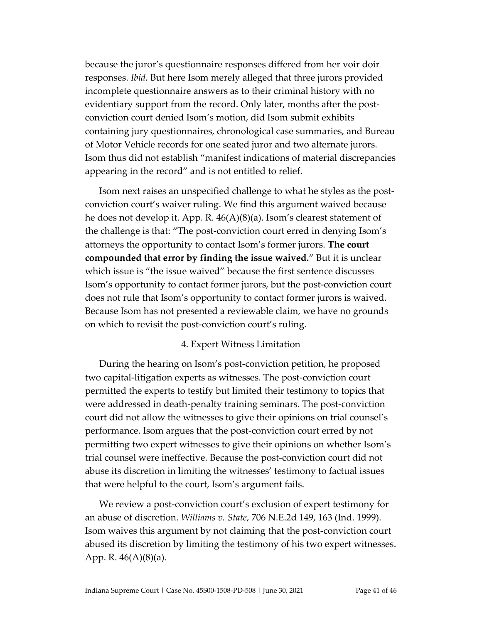because the juror's questionnaire responses differed from her voir doir responses. *Ibid.* But here Isom merely alleged that three jurors provided incomplete questionnaire answers as to their criminal history with no evidentiary support from the record. Only later, months after the postconviction court denied Isom's motion, did Isom submit exhibits containing jury questionnaires, chronological case summaries, and Bureau of Motor Vehicle records for one seated juror and two alternate jurors. Isom thus did not establish "manifest indications of material discrepancies appearing in the record" and is not entitled to relief.

Isom next raises an unspecified challenge to what he styles as the postconviction court's waiver ruling. We find this argument waived because he does not develop it. App. R. 46(A)(8)(a). Isom's clearest statement of the challenge is that: "The post-conviction court erred in denying Isom's attorneys the opportunity to contact Isom's former jurors. **The court compounded that error by finding the issue waived.**" But it is unclear which issue is "the issue waived" because the first sentence discusses Isom's opportunity to contact former jurors, but the post-conviction court does not rule that Isom's opportunity to contact former jurors is waived. Because Isom has not presented a reviewable claim, we have no grounds on which to revisit the post-conviction court's ruling.

#### 4. Expert Witness Limitation

During the hearing on Isom's post-conviction petition, he proposed two capital-litigation experts as witnesses. The post-conviction court permitted the experts to testify but limited their testimony to topics that were addressed in death-penalty training seminars. The post-conviction court did not allow the witnesses to give their opinions on trial counsel's performance. Isom argues that the post-conviction court erred by not permitting two expert witnesses to give their opinions on whether Isom's trial counsel were ineffective. Because the post-conviction court did not abuse its discretion in limiting the witnesses' testimony to factual issues that were helpful to the court, Isom's argument fails.

We review a post-conviction court's exclusion of expert testimony for an abuse of discretion. *Williams v. State*, 706 N.E.2d 149, 163 (Ind. 1999). Isom waives this argument by not claiming that the post-conviction court abused its discretion by limiting the testimony of his two expert witnesses. App. R. 46(A)(8)(a).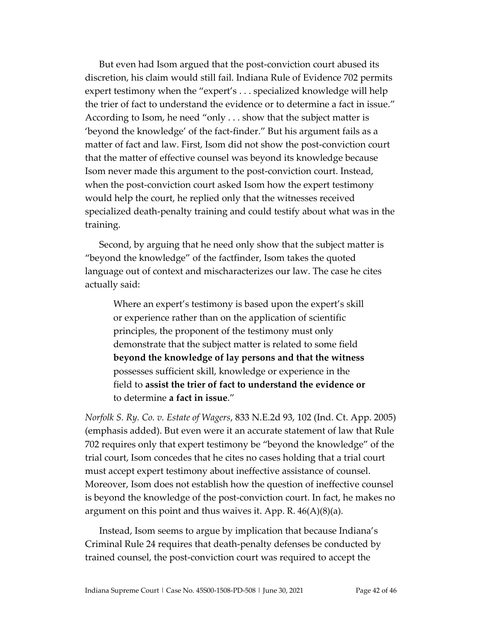But even had Isom argued that the post-conviction court abused its discretion, his claim would still fail. Indiana Rule of Evidence 702 permits expert testimony when the "expert's . . . specialized knowledge will help the trier of fact to understand the evidence or to determine a fact in issue." According to Isom, he need "only . . . show that the subject matter is 'beyond the knowledge' of the fact-finder." But his argument fails as a matter of fact and law. First, Isom did not show the post-conviction court that the matter of effective counsel was beyond its knowledge because Isom never made this argument to the post-conviction court. Instead, when the post-conviction court asked Isom how the expert testimony would help the court, he replied only that the witnesses received specialized death-penalty training and could testify about what was in the training.

Second, by arguing that he need only show that the subject matter is "beyond the knowledge" of the factfinder, Isom takes the quoted language out of context and mischaracterizes our law. The case he cites actually said:

Where an expert's testimony is based upon the expert's skill or experience rather than on the application of scientific principles, the proponent of the testimony must only demonstrate that the subject matter is related to some field **beyond the knowledge of lay persons and that the witness**  possesses sufficient skill, knowledge or experience in the field to **assist the trier of fact to understand the evidence or**  to determine **a fact in issue**."

*Norfolk S. Ry. Co. v. Estate of Wagers*, 833 N.E.2d 93, 102 (Ind. Ct. App. 2005) (emphasis added). But even were it an accurate statement of law that Rule 702 requires only that expert testimony be "beyond the knowledge" of the trial court, Isom concedes that he cites no cases holding that a trial court must accept expert testimony about ineffective assistance of counsel. Moreover, Isom does not establish how the question of ineffective counsel is beyond the knowledge of the post-conviction court. In fact, he makes no argument on this point and thus waives it. App. R. 46(A)(8)(a).

Instead, Isom seems to argue by implication that because Indiana's Criminal Rule 24 requires that death-penalty defenses be conducted by trained counsel, the post-conviction court was required to accept the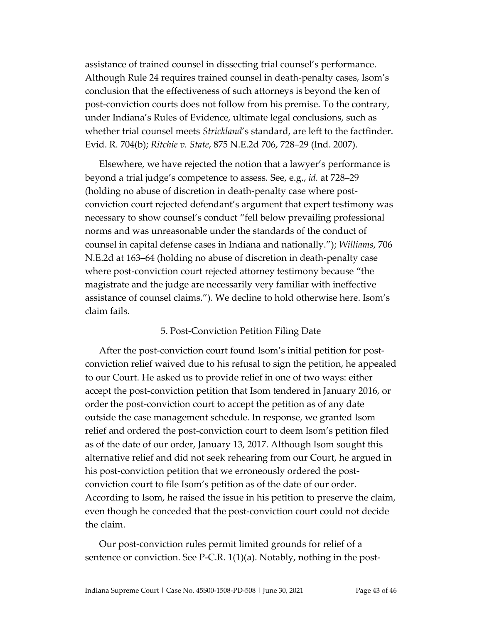assistance of trained counsel in dissecting trial counsel's performance. Although Rule 24 requires trained counsel in death-penalty cases, Isom's conclusion that the effectiveness of such attorneys is beyond the ken of post-conviction courts does not follow from his premise. To the contrary, under Indiana's Rules of Evidence, ultimate legal conclusions, such as whether trial counsel meets *Strickland*'s standard, are left to the factfinder. Evid. R. 704(b); *Ritchie v. State*, 875 N.E.2d 706, 728–29 (Ind. 2007).

Elsewhere, we have rejected the notion that a lawyer's performance is beyond a trial judge's competence to assess. See, e.g., *id.* at 728–29 (holding no abuse of discretion in death-penalty case where postconviction court rejected defendant's argument that expert testimony was necessary to show counsel's conduct "fell below prevailing professional norms and was unreasonable under the standards of the conduct of counsel in capital defense cases in Indiana and nationally."); *Williams*, 706 N.E.2d at 163–64 (holding no abuse of discretion in death-penalty case where post-conviction court rejected attorney testimony because "the magistrate and the judge are necessarily very familiar with ineffective assistance of counsel claims."). We decline to hold otherwise here. Isom's claim fails.

#### 5. Post-Conviction Petition Filing Date

After the post-conviction court found Isom's initial petition for postconviction relief waived due to his refusal to sign the petition, he appealed to our Court. He asked us to provide relief in one of two ways: either accept the post-conviction petition that Isom tendered in January 2016, or order the post-conviction court to accept the petition as of any date outside the case management schedule. In response, we granted Isom relief and ordered the post-conviction court to deem Isom's petition filed as of the date of our order, January 13, 2017. Although Isom sought this alternative relief and did not seek rehearing from our Court, he argued in his post-conviction petition that we erroneously ordered the postconviction court to file Isom's petition as of the date of our order. According to Isom, he raised the issue in his petition to preserve the claim, even though he conceded that the post-conviction court could not decide the claim.

Our post-conviction rules permit limited grounds for relief of a sentence or conviction. See P-C.R. 1(1)(a). Notably, nothing in the post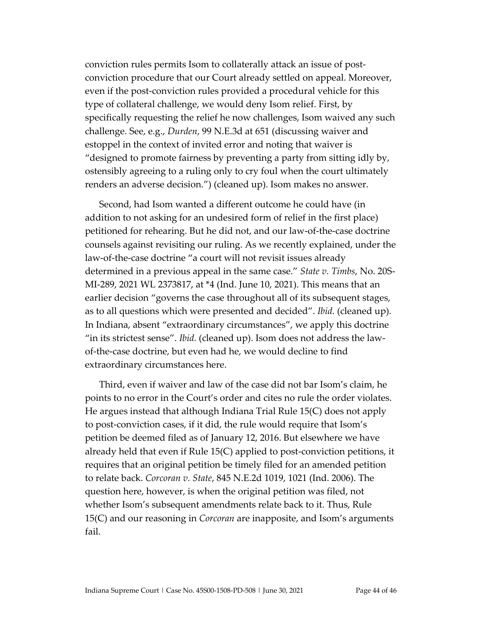conviction rules permits Isom to collaterally attack an issue of postconviction procedure that our Court already settled on appeal. Moreover, even if the post-conviction rules provided a procedural vehicle for this type of collateral challenge, we would deny Isom relief. First, by specifically requesting the relief he now challenges, Isom waived any such challenge. See, e.g., *Durden*, 99 N.E.3d at 651 (discussing waiver and estoppel in the context of invited error and noting that waiver is "designed to promote fairness by preventing a party from sitting idly by, ostensibly agreeing to a ruling only to cry foul when the court ultimately renders an adverse decision.") (cleaned up). Isom makes no answer.

Second, had Isom wanted a different outcome he could have (in addition to not asking for an undesired form of relief in the first place) petitioned for rehearing. But he did not, and our law-of-the-case doctrine counsels against revisiting our ruling. As we recently explained, under the law-of-the-case doctrine "a court will not revisit issues already determined in a previous appeal in the same case." *State v. Timbs*, No. 20S-MI-289, 2021 WL 2373817, at \*4 (Ind. June 10, 2021). This means that an earlier decision "governs the case throughout all of its subsequent stages, as to all questions which were presented and decided". *Ibid.* (cleaned up). In Indiana, absent "extraordinary circumstances", we apply this doctrine "in its strictest sense". *Ibid.* (cleaned up). Isom does not address the lawof-the-case doctrine, but even had he, we would decline to find extraordinary circumstances here.

Third, even if waiver and law of the case did not bar Isom's claim, he points to no error in the Court's order and cites no rule the order violates. He argues instead that although Indiana Trial Rule 15(C) does not apply to post-conviction cases, if it did, the rule would require that Isom's petition be deemed filed as of January 12, 2016. But elsewhere we have already held that even if Rule 15(C) applied to post-conviction petitions, it requires that an original petition be timely filed for an amended petition to relate back. *Corcoran v. State*, 845 N.E.2d 1019, 1021 (Ind. 2006). The question here, however, is when the original petition was filed, not whether Isom's subsequent amendments relate back to it. Thus, Rule 15(C) and our reasoning in *Corcoran* are inapposite, and Isom's arguments fail.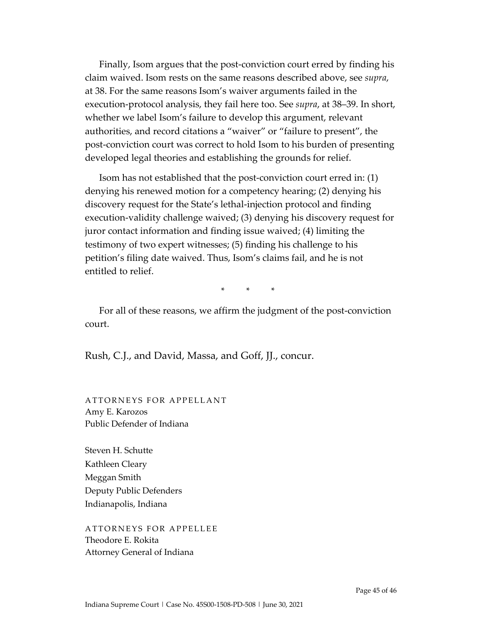Finally, Isom argues that the post-conviction court erred by finding his claim waived. Isom rests on the same reasons described above, see *supra*, at 38. For the same reasons Isom's waiver arguments failed in the execution-protocol analysis, they fail here too. See *supra*, at 38–39. In short, whether we label Isom's failure to develop this argument, relevant authorities, and record citations a "waiver" or "failure to present", the post-conviction court was correct to hold Isom to his burden of presenting developed legal theories and establishing the grounds for relief.

Isom has not established that the post-conviction court erred in: (1) denying his renewed motion for a competency hearing; (2) denying his discovery request for the State's lethal-injection protocol and finding execution-validity challenge waived; (3) denying his discovery request for juror contact information and finding issue waived; (4) limiting the testimony of two expert witnesses; (5) finding his challenge to his petition's filing date waived. Thus, Isom's claims fail, and he is not entitled to relief.

\* \* \*

For all of these reasons, we affirm the judgment of the post-conviction court.

Rush, C.J., and David, Massa, and Goff, JJ., concur.

ATTORNEYS FOR APPELLANT Amy E. Karozos Public Defender of Indiana

Steven H. Schutte Kathleen Cleary Meggan Smith Deputy Public Defenders Indianapolis, Indiana

ATTORNEYS FOR APPELLEE Theodore E. Rokita Attorney General of Indiana